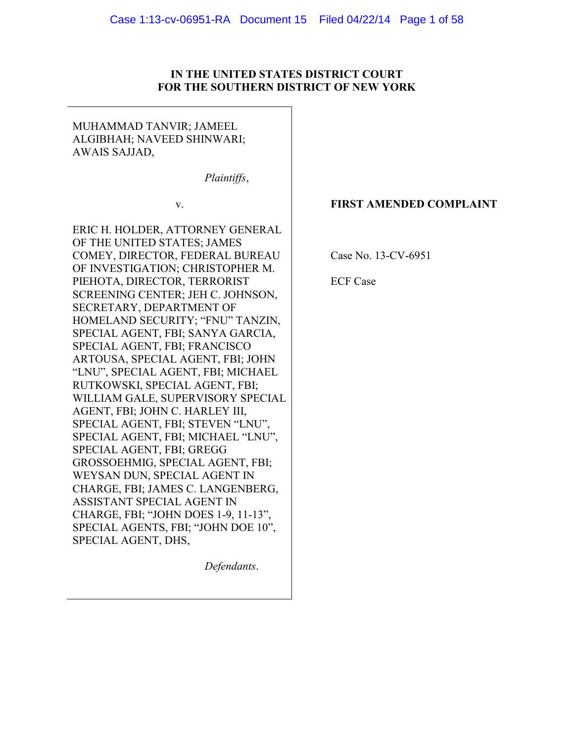## **IN THE UNITED STATES DISTRICT COURT FOR THE SOUTHERN DISTRICT OF NEW YORK**

# MUHAMMAD TANVIR; JAMEEL ALGIBHAH; NAVEED SHINWARI; AWAIS SAJJAD,

*Plaintiffs*,

v.

ERIC H. HOLDER, ATTORNEY GENERAL OF THE UNITED STATES; JAMES COMEY, DIRECTOR, FEDERAL BUREAU OF INVESTIGATION; CHRISTOPHER M. PIEHOTA, DIRECTOR, TERRORIST SCREENING CENTER; JEH C. JOHNSON, SECRETARY, DEPARTMENT OF HOMELAND SECURITY; "FNU" TANZIN, SPECIAL AGENT, FBI; SANYA GARCIA, SPECIAL AGENT, FBI; FRANCISCO ARTOUSA, SPECIAL AGENT, FBI; JOHN "LNU", SPECIAL AGENT, FBI; MICHAEL RUTKOWSKI, SPECIAL AGENT, FBI; WILLIAM GALE, SUPERVISORY SPECIAL AGENT, FBI; JOHN C. HARLEY III, SPECIAL AGENT, FBI; STEVEN "LNU", SPECIAL AGENT, FBI; MICHAEL "LNU", SPECIAL AGENT, FBI; GREGG GROSSOEHMIG, SPECIAL AGENT, FBI; WEYSAN DUN, SPECIAL AGENT IN CHARGE, FBI; JAMES C. LANGENBERG, ASSISTANT SPECIAL AGENT IN CHARGE, FBI; "JOHN DOES 1-9, 11-13", SPECIAL AGENTS, FBI; "JOHN DOE 10", SPECIAL AGENT, DHS,

*Defendants*.

# **FIRST AMENDED COMPLAINT**

Case No. 13-CV-6951

ECF Case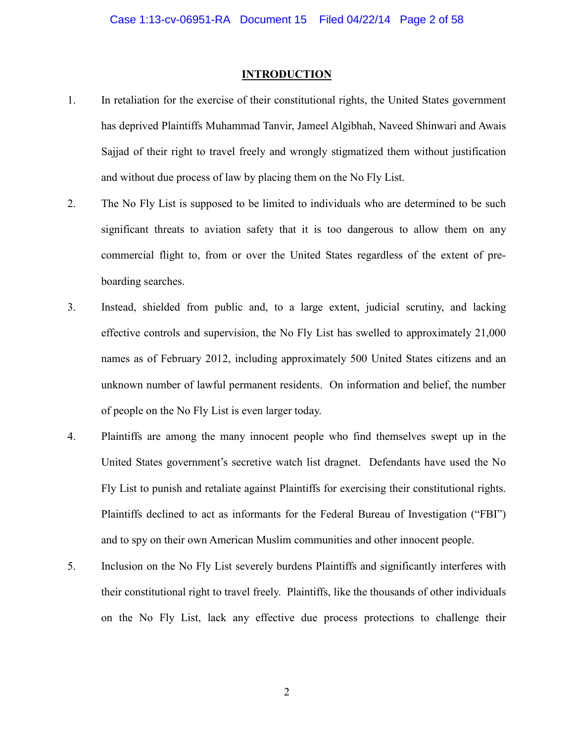#### **INTRODUCTION**

- 1. In retaliation for the exercise of their constitutional rights, the United States government has deprived Plaintiffs Muhammad Tanvir, Jameel Algibhah, Naveed Shinwari and Awais Sajjad of their right to travel freely and wrongly stigmatized them without justification and without due process of law by placing them on the No Fly List.
- 2. The No Fly List is supposed to be limited to individuals who are determined to be such significant threats to aviation safety that it is too dangerous to allow them on any commercial flight to, from or over the United States regardless of the extent of preboarding searches.
- 3. Instead, shielded from public and, to a large extent, judicial scrutiny, and lacking effective controls and supervision, the No Fly List has swelled to approximately 21,000 names as of February 2012, including approximately 500 United States citizens and an unknown number of lawful permanent residents. On information and belief, the number of people on the No Fly List is even larger today.
- 4. Plaintiffs are among the many innocent people who find themselves swept up in the United States government's secretive watch list dragnet. Defendants have used the No Fly List to punish and retaliate against Plaintiffs for exercising their constitutional rights. Plaintiffs declined to act as informants for the Federal Bureau of Investigation ("FBI") and to spy on their own American Muslim communities and other innocent people.
- 5. Inclusion on the No Fly List severely burdens Plaintiffs and significantly interferes with their constitutional right to travel freely. Plaintiffs, like the thousands of other individuals on the No Fly List, lack any effective due process protections to challenge their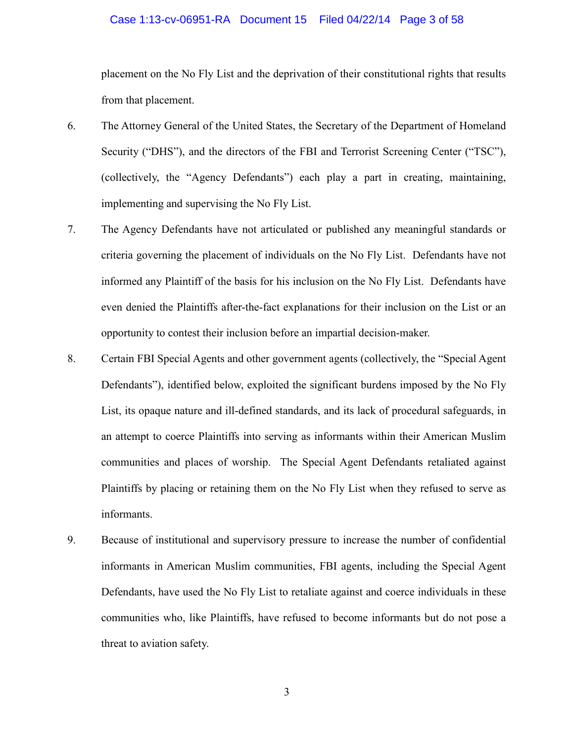#### Case 1:13-cv-06951-RA Document 15 Filed 04/22/14 Page 3 of 58

placement on the No Fly List and the deprivation of their constitutional rights that results from that placement.

- 6. The Attorney General of the United States, the Secretary of the Department of Homeland Security ("DHS"), and the directors of the FBI and Terrorist Screening Center ("TSC"), (collectively, the "Agency Defendants") each play a part in creating, maintaining, implementing and supervising the No Fly List.
- 7. The Agency Defendants have not articulated or published any meaningful standards or criteria governing the placement of individuals on the No Fly List. Defendants have not informed any Plaintiff of the basis for his inclusion on the No Fly List. Defendants have even denied the Plaintiffs after-the-fact explanations for their inclusion on the List or an opportunity to contest their inclusion before an impartial decision-maker.
- 8. Certain FBI Special Agents and other government agents (collectively, the "Special Agent Defendants"), identified below, exploited the significant burdens imposed by the No Fly List, its opaque nature and ill-defined standards, and its lack of procedural safeguards, in an attempt to coerce Plaintiffs into serving as informants within their American Muslim communities and places of worship. The Special Agent Defendants retaliated against Plaintiffs by placing or retaining them on the No Fly List when they refused to serve as informants.
- 9. Because of institutional and supervisory pressure to increase the number of confidential informants in American Muslim communities, FBI agents, including the Special Agent Defendants, have used the No Fly List to retaliate against and coerce individuals in these communities who, like Plaintiffs, have refused to become informants but do not pose a threat to aviation safety.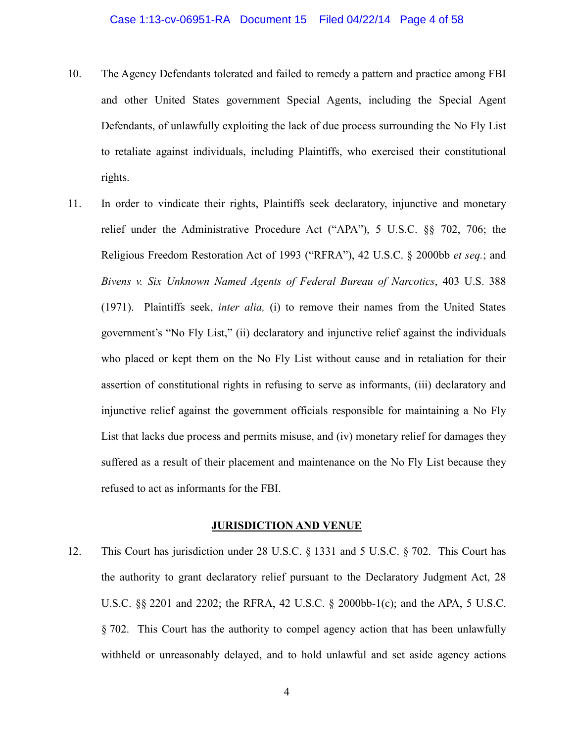- 10. The Agency Defendants tolerated and failed to remedy a pattern and practice among FBI and other United States government Special Agents, including the Special Agent Defendants, of unlawfully exploiting the lack of due process surrounding the No Fly List to retaliate against individuals, including Plaintiffs, who exercised their constitutional rights.
- 11. In order to vindicate their rights, Plaintiffs seek declaratory, injunctive and monetary relief under the Administrative Procedure Act ("APA"), 5 U.S.C. §§ 702, 706; the Religious Freedom Restoration Act of 1993 ("RFRA"), 42 U.S.C. § 2000bb *et seq.*; and *Bivens v. Six Unknown Named Agents of Federal Bureau of Narcotics*, 403 U.S. 388 (1971). Plaintiffs seek, *inter alia,* (i) to remove their names from the United States government's "No Fly List," (ii) declaratory and injunctive relief against the individuals who placed or kept them on the No Fly List without cause and in retaliation for their assertion of constitutional rights in refusing to serve as informants, (iii) declaratory and injunctive relief against the government officials responsible for maintaining a No Fly List that lacks due process and permits misuse, and (iv) monetary relief for damages they suffered as a result of their placement and maintenance on the No Fly List because they refused to act as informants for the FBI.

#### **JURISDICTION AND VENUE**

12. This Court has jurisdiction under 28 U.S.C. § 1331 and 5 U.S.C. § 702. This Court has the authority to grant declaratory relief pursuant to the Declaratory Judgment Act, 28 U.S.C. §§ 2201 and 2202; the RFRA, 42 U.S.C. § 2000bb-1(c); and the APA, 5 U.S.C. § 702. This Court has the authority to compel agency action that has been unlawfully withheld or unreasonably delayed, and to hold unlawful and set aside agency actions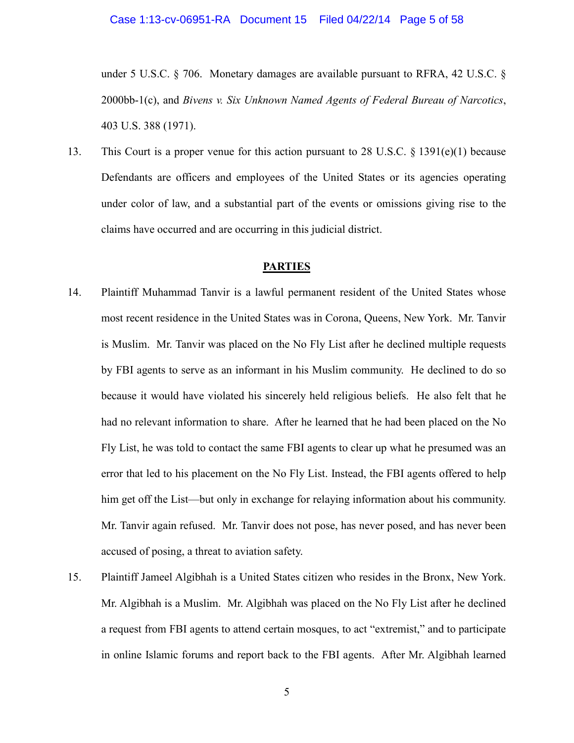under 5 U.S.C. § 706. Monetary damages are available pursuant to RFRA, 42 U.S.C. § 2000bb-1(c), and *Bivens v. Six Unknown Named Agents of Federal Bureau of Narcotics*, 403 U.S. 388 (1971).

13. This Court is a proper venue for this action pursuant to 28 U.S.C.  $\S$  1391(e)(1) because Defendants are officers and employees of the United States or its agencies operating under color of law, and a substantial part of the events or omissions giving rise to the claims have occurred and are occurring in this judicial district.

## **PARTIES**

- 14. Plaintiff Muhammad Tanvir is a lawful permanent resident of the United States whose most recent residence in the United States was in Corona, Queens, New York. Mr. Tanvir is Muslim. Mr. Tanvir was placed on the No Fly List after he declined multiple requests by FBI agents to serve as an informant in his Muslim community. He declined to do so because it would have violated his sincerely held religious beliefs. He also felt that he had no relevant information to share. After he learned that he had been placed on the No Fly List, he was told to contact the same FBI agents to clear up what he presumed was an error that led to his placement on the No Fly List. Instead, the FBI agents offered to help him get off the List—but only in exchange for relaying information about his community. Mr. Tanvir again refused. Mr. Tanvir does not pose, has never posed, and has never been accused of posing, a threat to aviation safety.
- 15. Plaintiff Jameel Algibhah is a United States citizen who resides in the Bronx, New York. Mr. Algibhah is a Muslim. Mr. Algibhah was placed on the No Fly List after he declined a request from FBI agents to attend certain mosques, to act "extremist," and to participate in online Islamic forums and report back to the FBI agents. After Mr. Algibhah learned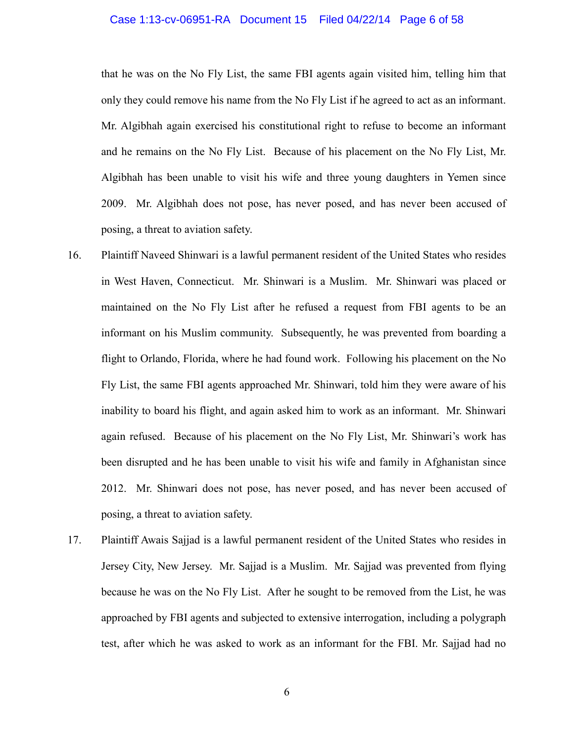#### Case 1:13-cv-06951-RA Document 15 Filed 04/22/14 Page 6 of 58

that he was on the No Fly List, the same FBI agents again visited him, telling him that only they could remove his name from the No Fly List if he agreed to act as an informant. Mr. Algibhah again exercised his constitutional right to refuse to become an informant and he remains on the No Fly List. Because of his placement on the No Fly List, Mr. Algibhah has been unable to visit his wife and three young daughters in Yemen since 2009. Mr. Algibhah does not pose, has never posed, and has never been accused of posing, a threat to aviation safety.

- 16. Plaintiff Naveed Shinwari is a lawful permanent resident of the United States who resides in West Haven, Connecticut. Mr. Shinwari is a Muslim. Mr. Shinwari was placed or maintained on the No Fly List after he refused a request from FBI agents to be an informant on his Muslim community. Subsequently, he was prevented from boarding a flight to Orlando, Florida, where he had found work. Following his placement on the No Fly List, the same FBI agents approached Mr. Shinwari, told him they were aware of his inability to board his flight, and again asked him to work as an informant. Mr. Shinwari again refused. Because of his placement on the No Fly List, Mr. Shinwari's work has been disrupted and he has been unable to visit his wife and family in Afghanistan since 2012. Mr. Shinwari does not pose, has never posed, and has never been accused of posing, a threat to aviation safety.
- 17. Plaintiff Awais Sajjad is a lawful permanent resident of the United States who resides in Jersey City, New Jersey. Mr. Sajjad is a Muslim. Mr. Sajjad was prevented from flying because he was on the No Fly List. After he sought to be removed from the List, he was approached by FBI agents and subjected to extensive interrogation, including a polygraph test, after which he was asked to work as an informant for the FBI. Mr. Sajjad had no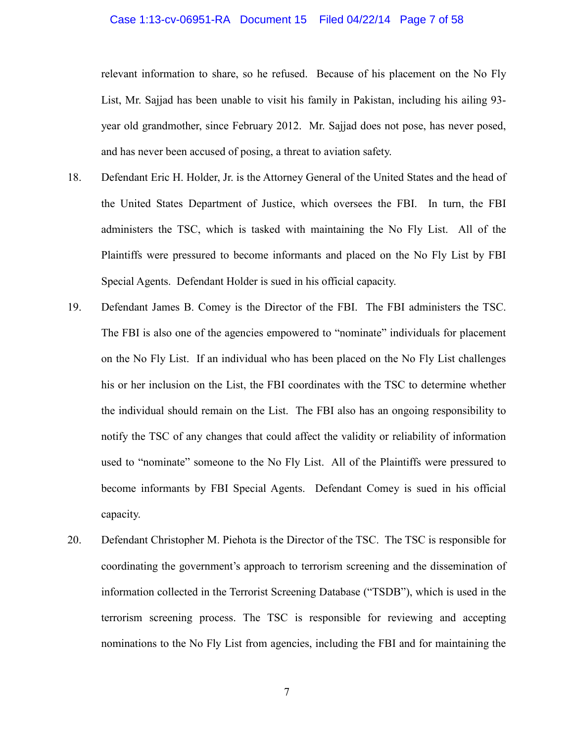#### Case 1:13-cv-06951-RA Document 15 Filed 04/22/14 Page 7 of 58

relevant information to share, so he refused. Because of his placement on the No Fly List, Mr. Sajjad has been unable to visit his family in Pakistan, including his ailing 93 year old grandmother, since February 2012. Mr. Sajjad does not pose, has never posed, and has never been accused of posing, a threat to aviation safety.

- 18. Defendant Eric H. Holder, Jr. is the Attorney General of the United States and the head of the United States Department of Justice, which oversees the FBI. In turn, the FBI administers the TSC, which is tasked with maintaining the No Fly List. All of the Plaintiffs were pressured to become informants and placed on the No Fly List by FBI Special Agents. Defendant Holder is sued in his official capacity.
- 19. Defendant James B. Comey is the Director of the FBI. The FBI administers the TSC. The FBI is also one of the agencies empowered to "nominate" individuals for placement on the No Fly List. If an individual who has been placed on the No Fly List challenges his or her inclusion on the List, the FBI coordinates with the TSC to determine whether the individual should remain on the List. The FBI also has an ongoing responsibility to notify the TSC of any changes that could affect the validity or reliability of information used to "nominate" someone to the No Fly List. All of the Plaintiffs were pressured to become informants by FBI Special Agents. Defendant Comey is sued in his official capacity.
- 20. Defendant Christopher M. Piehota is the Director of the TSC. The TSC is responsible for coordinating the government's approach to terrorism screening and the dissemination of information collected in the Terrorist Screening Database ("TSDB"), which is used in the terrorism screening process. The TSC is responsible for reviewing and accepting nominations to the No Fly List from agencies, including the FBI and for maintaining the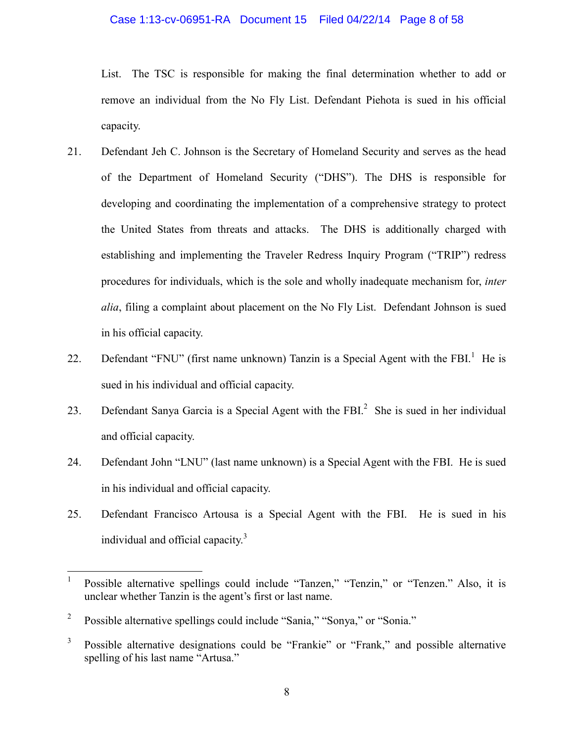#### Case 1:13-cv-06951-RA Document 15 Filed 04/22/14 Page 8 of 58

List. The TSC is responsible for making the final determination whether to add or remove an individual from the No Fly List. Defendant Piehota is sued in his official capacity.

- 21. Defendant Jeh C. Johnson is the Secretary of Homeland Security and serves as the head of the Department of Homeland Security ("DHS"). The DHS is responsible for developing and coordinating the implementation of a comprehensive strategy to protect the United States from threats and attacks. The DHS is additionally charged with establishing and implementing the Traveler Redress Inquiry Program ("TRIP") redress procedures for individuals, which is the sole and wholly inadequate mechanism for, *inter alia*, filing a complaint about placement on the No Fly List. Defendant Johnson is sued in his official capacity.
- 22. Defendant "FNU" (first name unknown) Tanzin is a Special Agent with the FBI. $<sup>1</sup>$  He is</sup> sued in his individual and official capacity.
- 23. Defendant Sanya Garcia is a Special Agent with the FBI. $^2$  She is sued in her individual and official capacity.
- 24. Defendant John "LNU" (last name unknown) is a Special Agent with the FBI. He is sued in his individual and official capacity.
- 25. Defendant Francisco Artousa is a Special Agent with the FBI. He is sued in his individual and official capacity. $3$

<sup>1</sup> Possible alternative spellings could include "Tanzen," "Tenzin," or "Tenzen." Also, it is unclear whether Tanzin is the agent's first or last name.

<sup>2</sup> Possible alternative spellings could include "Sania," "Sonya," or "Sonia."

<sup>3</sup> Possible alternative designations could be "Frankie" or "Frank," and possible alternative spelling of his last name "Artusa."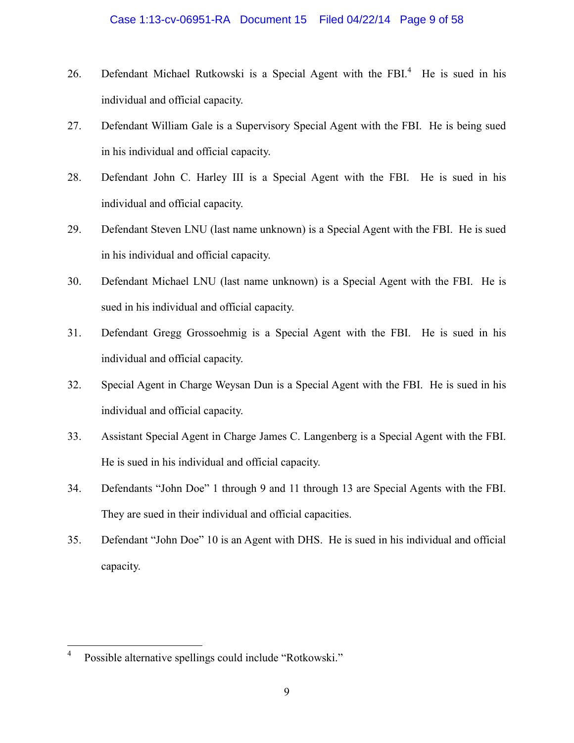## Case 1:13-cv-06951-RA Document 15 Filed 04/22/14 Page 9 of 58

- 26. Defendant Michael Rutkowski is a Special Agent with the FBI.<sup>4</sup> He is sued in his individual and official capacity.
- 27. Defendant William Gale is a Supervisory Special Agent with the FBI. He is being sued in his individual and official capacity.
- 28. Defendant John C. Harley III is a Special Agent with the FBI. He is sued in his individual and official capacity.
- 29. Defendant Steven LNU (last name unknown) is a Special Agent with the FBI. He is sued in his individual and official capacity.
- 30. Defendant Michael LNU (last name unknown) is a Special Agent with the FBI. He is sued in his individual and official capacity.
- 31. Defendant Gregg Grossoehmig is a Special Agent with the FBI. He is sued in his individual and official capacity.
- 32. Special Agent in Charge Weysan Dun is a Special Agent with the FBI. He is sued in his individual and official capacity.
- 33. Assistant Special Agent in Charge James C. Langenberg is a Special Agent with the FBI. He is sued in his individual and official capacity.
- 34. Defendants "John Doe" 1 through 9 and 11 through 13 are Special Agents with the FBI. They are sued in their individual and official capacities.
- 35. Defendant "John Doe" 10 is an Agent with DHS. He is sued in his individual and official capacity.

<sup>4</sup> Possible alternative spellings could include "Rotkowski."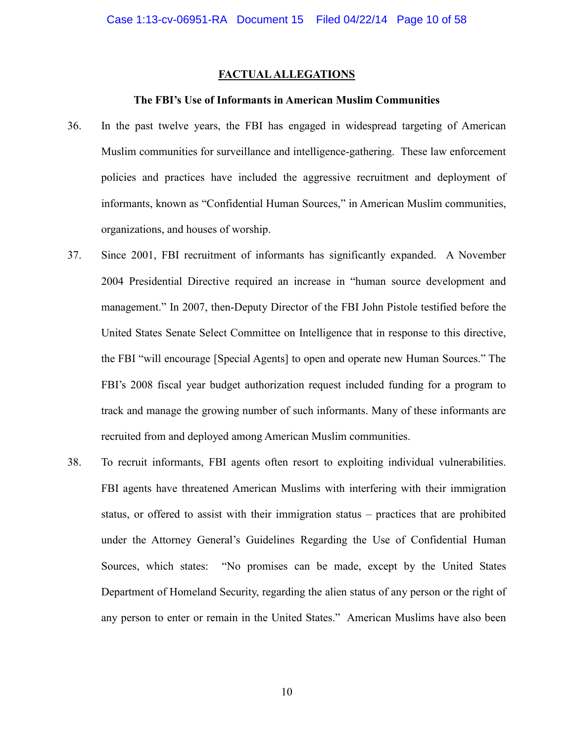## **FACTUAL ALLEGATIONS**

#### **The FBI's Use of Informants in American Muslim Communities**

- 36. In the past twelve years, the FBI has engaged in widespread targeting of American Muslim communities for surveillance and intelligence-gathering. These law enforcement policies and practices have included the aggressive recruitment and deployment of informants, known as "Confidential Human Sources," in American Muslim communities, organizations, and houses of worship.
- 37. Since 2001, FBI recruitment of informants has significantly expanded. A November 2004 Presidential Directive required an increase in "human source development and management." In 2007, then-Deputy Director of the FBI John Pistole testified before the United States Senate Select Committee on Intelligence that in response to this directive, the FBI "will encourage [Special Agents] to open and operate new Human Sources." The FBI's 2008 fiscal year budget authorization request included funding for a program to track and manage the growing number of such informants. Many of these informants are recruited from and deployed among American Muslim communities.
- 38. To recruit informants, FBI agents often resort to exploiting individual vulnerabilities. FBI agents have threatened American Muslims with interfering with their immigration status, or offered to assist with their immigration status – practices that are prohibited under the Attorney General's Guidelines Regarding the Use of Confidential Human Sources, which states: "No promises can be made, except by the United States Department of Homeland Security, regarding the alien status of any person or the right of any person to enter or remain in the United States." American Muslims have also been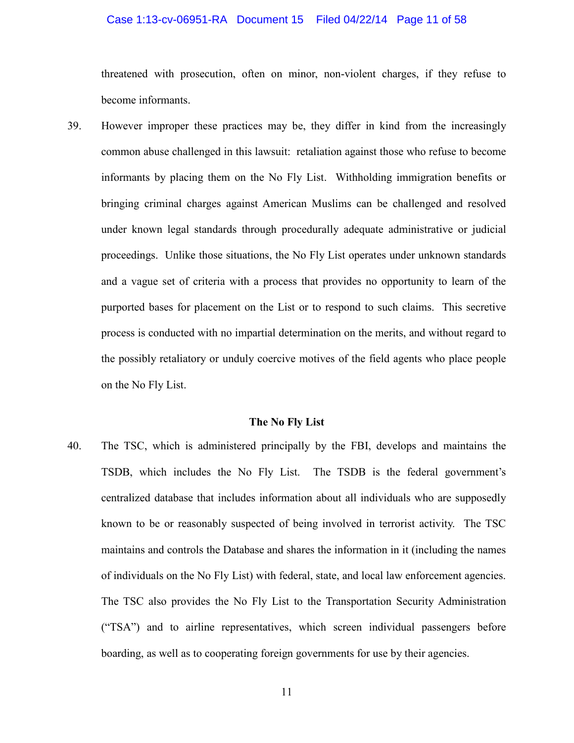#### Case 1:13-cv-06951-RA Document 15 Filed 04/22/14 Page 11 of 58

threatened with prosecution, often on minor, non-violent charges, if they refuse to become informants.

39. However improper these practices may be, they differ in kind from the increasingly common abuse challenged in this lawsuit: retaliation against those who refuse to become informants by placing them on the No Fly List. Withholding immigration benefits or bringing criminal charges against American Muslims can be challenged and resolved under known legal standards through procedurally adequate administrative or judicial proceedings. Unlike those situations, the No Fly List operates under unknown standards and a vague set of criteria with a process that provides no opportunity to learn of the purported bases for placement on the List or to respond to such claims. This secretive process is conducted with no impartial determination on the merits, and without regard to the possibly retaliatory or unduly coercive motives of the field agents who place people on the No Fly List.

#### **The No Fly List**

40. The TSC, which is administered principally by the FBI, develops and maintains the TSDB, which includes the No Fly List. The TSDB is the federal government's centralized database that includes information about all individuals who are supposedly known to be or reasonably suspected of being involved in terrorist activity. The TSC maintains and controls the Database and shares the information in it (including the names of individuals on the No Fly List) with federal, state, and local law enforcement agencies. The TSC also provides the No Fly List to the Transportation Security Administration ("TSA") and to airline representatives, which screen individual passengers before boarding, as well as to cooperating foreign governments for use by their agencies.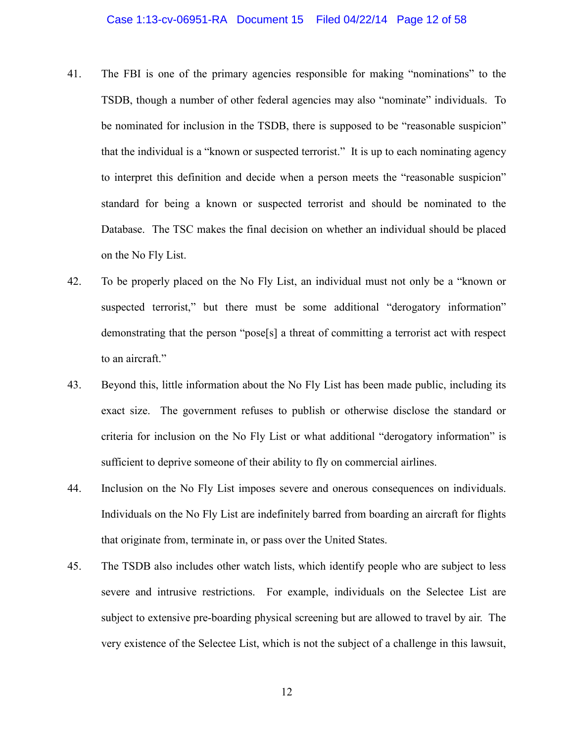- 41. The FBI is one of the primary agencies responsible for making "nominations" to the TSDB, though a number of other federal agencies may also "nominate" individuals. To be nominated for inclusion in the TSDB, there is supposed to be "reasonable suspicion" that the individual is a "known or suspected terrorist." It is up to each nominating agency to interpret this definition and decide when a person meets the "reasonable suspicion" standard for being a known or suspected terrorist and should be nominated to the Database. The TSC makes the final decision on whether an individual should be placed on the No Fly List.
- 42. To be properly placed on the No Fly List, an individual must not only be a "known or suspected terrorist," but there must be some additional "derogatory information" demonstrating that the person "pose[s] a threat of committing a terrorist act with respect to an aircraft."
- 43. Beyond this, little information about the No Fly List has been made public, including its exact size. The government refuses to publish or otherwise disclose the standard or criteria for inclusion on the No Fly List or what additional "derogatory information" is sufficient to deprive someone of their ability to fly on commercial airlines.
- 44. Inclusion on the No Fly List imposes severe and onerous consequences on individuals. Individuals on the No Fly List are indefinitely barred from boarding an aircraft for flights that originate from, terminate in, or pass over the United States.
- 45. The TSDB also includes other watch lists, which identify people who are subject to less severe and intrusive restrictions. For example, individuals on the Selectee List are subject to extensive pre-boarding physical screening but are allowed to travel by air. The very existence of the Selectee List, which is not the subject of a challenge in this lawsuit,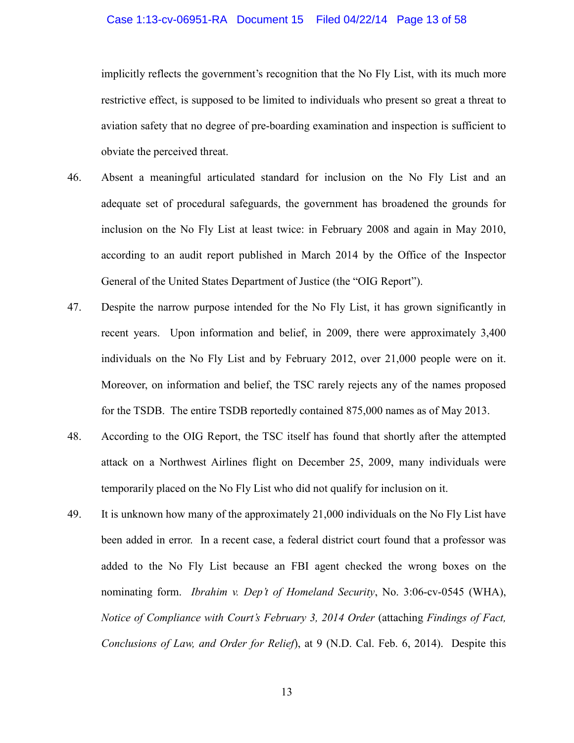#### Case 1:13-cv-06951-RA Document 15 Filed 04/22/14 Page 13 of 58

implicitly reflects the government's recognition that the No Fly List, with its much more restrictive effect, is supposed to be limited to individuals who present so great a threat to aviation safety that no degree of pre-boarding examination and inspection is sufficient to obviate the perceived threat.

- 46. Absent a meaningful articulated standard for inclusion on the No Fly List and an adequate set of procedural safeguards, the government has broadened the grounds for inclusion on the No Fly List at least twice: in February 2008 and again in May 2010, according to an audit report published in March 2014 by the Office of the Inspector General of the United States Department of Justice (the "OIG Report").
- 47. Despite the narrow purpose intended for the No Fly List, it has grown significantly in recent years. Upon information and belief, in 2009, there were approximately 3,400 individuals on the No Fly List and by February 2012, over 21,000 people were on it. Moreover, on information and belief, the TSC rarely rejects any of the names proposed for the TSDB. The entire TSDB reportedly contained 875,000 names as of May 2013.
- 48. According to the OIG Report, the TSC itself has found that shortly after the attempted attack on a Northwest Airlines flight on December 25, 2009, many individuals were temporarily placed on the No Fly List who did not qualify for inclusion on it.
- 49. It is unknown how many of the approximately 21,000 individuals on the No Fly List have been added in error. In a recent case, a federal district court found that a professor was added to the No Fly List because an FBI agent checked the wrong boxes on the nominating form. *Ibrahim v. Dep't of Homeland Security*, No. 3:06-cv-0545 (WHA), *Notice of Compliance with Court's February 3, 2014 Order* (attaching *Findings of Fact, Conclusions of Law, and Order for Relief*), at 9 (N.D. Cal. Feb. 6, 2014). Despite this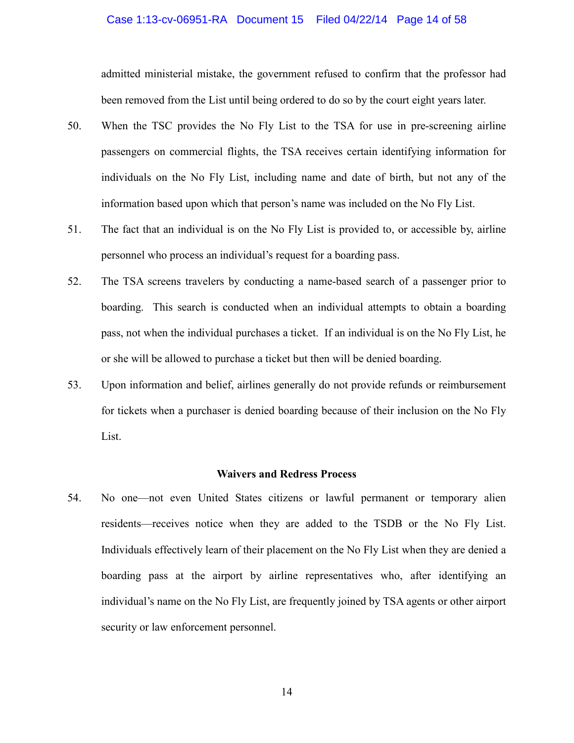#### Case 1:13-cv-06951-RA Document 15 Filed 04/22/14 Page 14 of 58

admitted ministerial mistake, the government refused to confirm that the professor had been removed from the List until being ordered to do so by the court eight years later.

- 50. When the TSC provides the No Fly List to the TSA for use in pre-screening airline passengers on commercial flights, the TSA receives certain identifying information for individuals on the No Fly List, including name and date of birth, but not any of the information based upon which that person's name was included on the No Fly List.
- 51. The fact that an individual is on the No Fly List is provided to, or accessible by, airline personnel who process an individual's request for a boarding pass.
- 52. The TSA screens travelers by conducting a name-based search of a passenger prior to boarding. This search is conducted when an individual attempts to obtain a boarding pass, not when the individual purchases a ticket. If an individual is on the No Fly List, he or she will be allowed to purchase a ticket but then will be denied boarding.
- 53. Upon information and belief, airlines generally do not provide refunds or reimbursement for tickets when a purchaser is denied boarding because of their inclusion on the No Fly List.

#### **Waivers and Redress Process**

54. No one—not even United States citizens or lawful permanent or temporary alien residents—receives notice when they are added to the TSDB or the No Fly List. Individuals effectively learn of their placement on the No Fly List when they are denied a boarding pass at the airport by airline representatives who, after identifying an individual's name on the No Fly List, are frequently joined by TSA agents or other airport security or law enforcement personnel.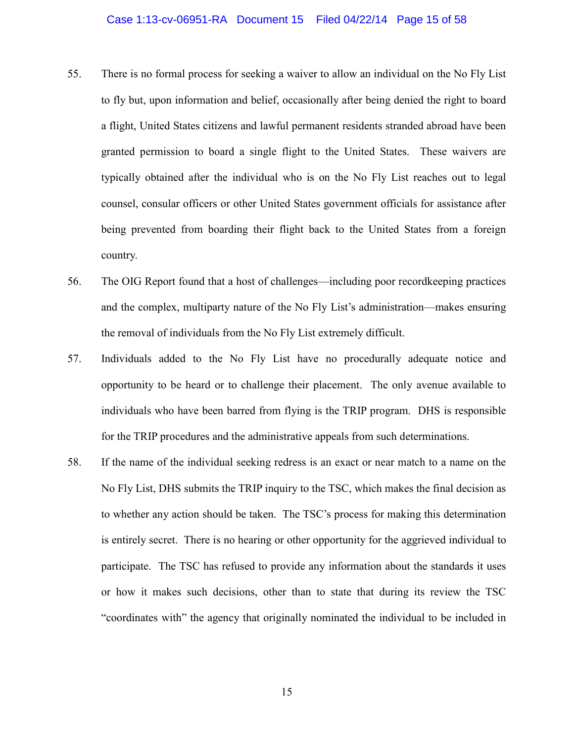#### Case 1:13-cv-06951-RA Document 15 Filed 04/22/14 Page 15 of 58

- 55. There is no formal process for seeking a waiver to allow an individual on the No Fly List to fly but, upon information and belief, occasionally after being denied the right to board a flight, United States citizens and lawful permanent residents stranded abroad have been granted permission to board a single flight to the United States. These waivers are typically obtained after the individual who is on the No Fly List reaches out to legal counsel, consular officers or other United States government officials for assistance after being prevented from boarding their flight back to the United States from a foreign country.
- 56. The OIG Report found that a host of challenges—including poor recordkeeping practices and the complex, multiparty nature of the No Fly List's administration—makes ensuring the removal of individuals from the No Fly List extremely difficult.
- 57. Individuals added to the No Fly List have no procedurally adequate notice and opportunity to be heard or to challenge their placement. The only avenue available to individuals who have been barred from flying is the TRIP program. DHS is responsible for the TRIP procedures and the administrative appeals from such determinations.
- 58. If the name of the individual seeking redress is an exact or near match to a name on the No Fly List, DHS submits the TRIP inquiry to the TSC, which makes the final decision as to whether any action should be taken. The TSC's process for making this determination is entirely secret. There is no hearing or other opportunity for the aggrieved individual to participate. The TSC has refused to provide any information about the standards it uses or how it makes such decisions, other than to state that during its review the TSC "coordinates with" the agency that originally nominated the individual to be included in

15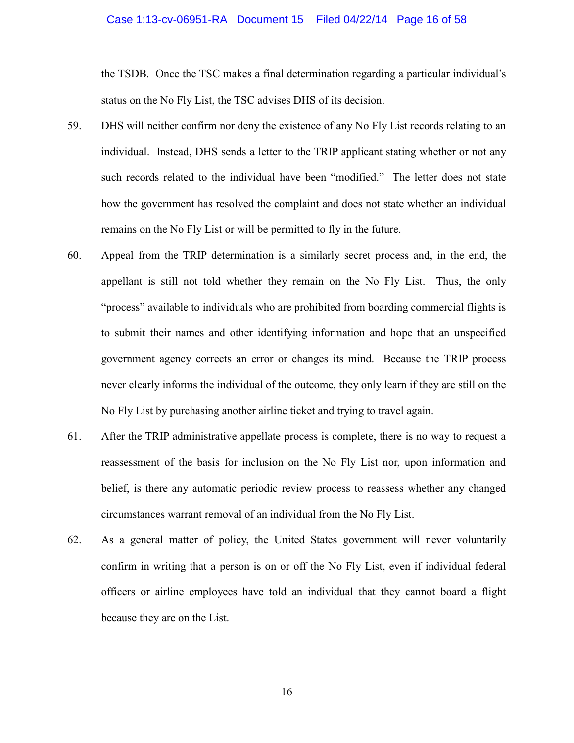#### Case 1:13-cv-06951-RA Document 15 Filed 04/22/14 Page 16 of 58

the TSDB. Once the TSC makes a final determination regarding a particular individual's status on the No Fly List, the TSC advises DHS of its decision.

- 59. DHS will neither confirm nor deny the existence of any No Fly List records relating to an individual. Instead, DHS sends a letter to the TRIP applicant stating whether or not any such records related to the individual have been "modified." The letter does not state how the government has resolved the complaint and does not state whether an individual remains on the No Fly List or will be permitted to fly in the future.
- 60. Appeal from the TRIP determination is a similarly secret process and, in the end, the appellant is still not told whether they remain on the No Fly List. Thus, the only "process" available to individuals who are prohibited from boarding commercial flights is to submit their names and other identifying information and hope that an unspecified government agency corrects an error or changes its mind. Because the TRIP process never clearly informs the individual of the outcome, they only learn if they are still on the No Fly List by purchasing another airline ticket and trying to travel again.
- 61. After the TRIP administrative appellate process is complete, there is no way to request a reassessment of the basis for inclusion on the No Fly List nor, upon information and belief, is there any automatic periodic review process to reassess whether any changed circumstances warrant removal of an individual from the No Fly List.
- 62. As a general matter of policy, the United States government will never voluntarily confirm in writing that a person is on or off the No Fly List, even if individual federal officers or airline employees have told an individual that they cannot board a flight because they are on the List.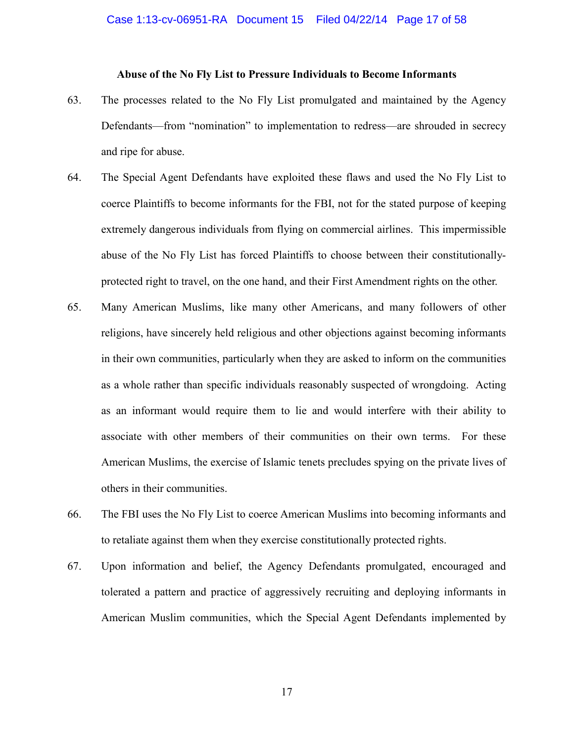## **Abuse of the No Fly List to Pressure Individuals to Become Informants**

- 63. The processes related to the No Fly List promulgated and maintained by the Agency Defendants—from "nomination" to implementation to redress—are shrouded in secrecy and ripe for abuse.
- 64. The Special Agent Defendants have exploited these flaws and used the No Fly List to coerce Plaintiffs to become informants for the FBI, not for the stated purpose of keeping extremely dangerous individuals from flying on commercial airlines. This impermissible abuse of the No Fly List has forced Plaintiffs to choose between their constitutionallyprotected right to travel, on the one hand, and their First Amendment rights on the other.
- 65. Many American Muslims, like many other Americans, and many followers of other religions, have sincerely held religious and other objections against becoming informants in their own communities, particularly when they are asked to inform on the communities as a whole rather than specific individuals reasonably suspected of wrongdoing. Acting as an informant would require them to lie and would interfere with their ability to associate with other members of their communities on their own terms. For these American Muslims, the exercise of Islamic tenets precludes spying on the private lives of others in their communities.
- 66. The FBI uses the No Fly List to coerce American Muslims into becoming informants and to retaliate against them when they exercise constitutionally protected rights.
- 67. Upon information and belief, the Agency Defendants promulgated, encouraged and tolerated a pattern and practice of aggressively recruiting and deploying informants in American Muslim communities, which the Special Agent Defendants implemented by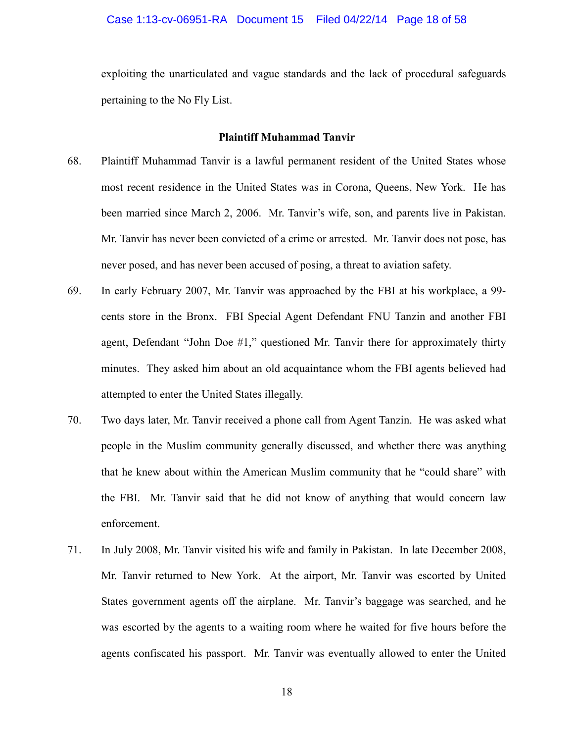exploiting the unarticulated and vague standards and the lack of procedural safeguards pertaining to the No Fly List.

#### **Plaintiff Muhammad Tanvir**

- 68. Plaintiff Muhammad Tanvir is a lawful permanent resident of the United States whose most recent residence in the United States was in Corona, Queens, New York. He has been married since March 2, 2006. Mr. Tanvir's wife, son, and parents live in Pakistan. Mr. Tanvir has never been convicted of a crime or arrested. Mr. Tanvir does not pose, has never posed, and has never been accused of posing, a threat to aviation safety.
- 69. In early February 2007, Mr. Tanvir was approached by the FBI at his workplace, a 99 cents store in the Bronx. FBI Special Agent Defendant FNU Tanzin and another FBI agent, Defendant "John Doe #1," questioned Mr. Tanvir there for approximately thirty minutes. They asked him about an old acquaintance whom the FBI agents believed had attempted to enter the United States illegally.
- 70. Two days later, Mr. Tanvir received a phone call from Agent Tanzin. He was asked what people in the Muslim community generally discussed, and whether there was anything that he knew about within the American Muslim community that he "could share" with the FBI. Mr. Tanvir said that he did not know of anything that would concern law enforcement.
- 71. In July 2008, Mr. Tanvir visited his wife and family in Pakistan. In late December 2008, Mr. Tanvir returned to New York. At the airport, Mr. Tanvir was escorted by United States government agents off the airplane. Mr. Tanvir's baggage was searched, and he was escorted by the agents to a waiting room where he waited for five hours before the agents confiscated his passport. Mr. Tanvir was eventually allowed to enter the United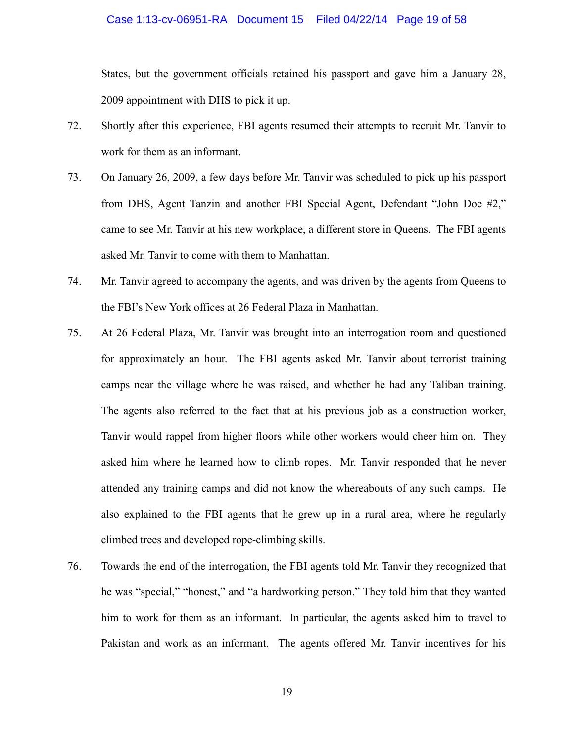#### Case 1:13-cv-06951-RA Document 15 Filed 04/22/14 Page 19 of 58

States, but the government officials retained his passport and gave him a January 28, 2009 appointment with DHS to pick it up.

- 72. Shortly after this experience, FBI agents resumed their attempts to recruit Mr. Tanvir to work for them as an informant.
- 73. On January 26, 2009, a few days before Mr. Tanvir was scheduled to pick up his passport from DHS, Agent Tanzin and another FBI Special Agent, Defendant "John Doe #2," came to see Mr. Tanvir at his new workplace, a different store in Queens. The FBI agents asked Mr. Tanvir to come with them to Manhattan.
- 74. Mr. Tanvir agreed to accompany the agents, and was driven by the agents from Queens to the FBI's New York offices at 26 Federal Plaza in Manhattan.
- 75. At 26 Federal Plaza, Mr. Tanvir was brought into an interrogation room and questioned for approximately an hour. The FBI agents asked Mr. Tanvir about terrorist training camps near the village where he was raised, and whether he had any Taliban training. The agents also referred to the fact that at his previous job as a construction worker, Tanvir would rappel from higher floors while other workers would cheer him on. They asked him where he learned how to climb ropes. Mr. Tanvir responded that he never attended any training camps and did not know the whereabouts of any such camps. He also explained to the FBI agents that he grew up in a rural area, where he regularly climbed trees and developed rope-climbing skills.
- 76. Towards the end of the interrogation, the FBI agents told Mr. Tanvir they recognized that he was "special," "honest," and "a hardworking person." They told him that they wanted him to work for them as an informant. In particular, the agents asked him to travel to Pakistan and work as an informant. The agents offered Mr. Tanvir incentives for his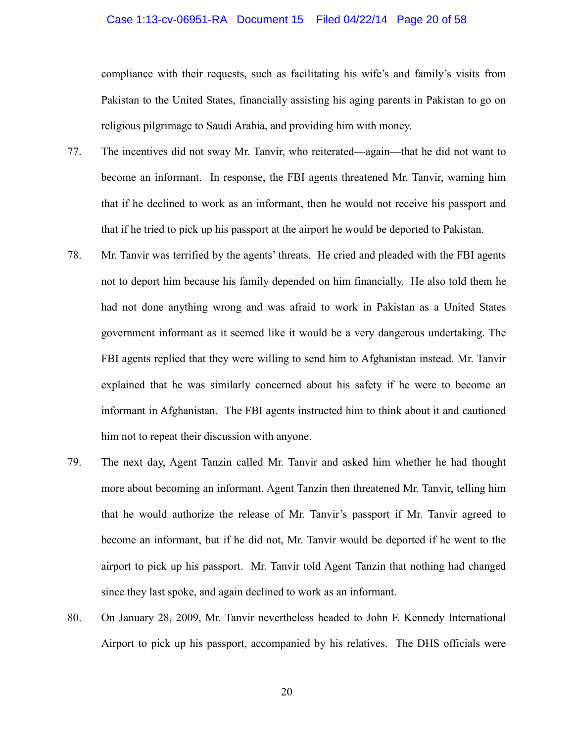#### Case 1:13-cv-06951-RA Document 15 Filed 04/22/14 Page 20 of 58

compliance with their requests, such as facilitating his wife's and family's visits from Pakistan to the United States, financially assisting his aging parents in Pakistan to go on religious pilgrimage to Saudi Arabia, and providing him with money.

- 77. The incentives did not sway Mr. Tanvir, who reiterated—again—that he did not want to become an informant. In response, the FBI agents threatened Mr. Tanvir, warning him that if he declined to work as an informant, then he would not receive his passport and that if he tried to pick up his passport at the airport he would be deported to Pakistan.
- 78. Mr. Tanvir was terrified by the agents' threats. He cried and pleaded with the FBI agents not to deport him because his family depended on him financially. He also told them he had not done anything wrong and was afraid to work in Pakistan as a United States government informant as it seemed like it would be a very dangerous undertaking. The FBI agents replied that they were willing to send him to Afghanistan instead. Mr. Tanvir explained that he was similarly concerned about his safety if he were to become an informant in Afghanistan. The FBI agents instructed him to think about it and cautioned him not to repeat their discussion with anyone.
- 79. The next day, Agent Tanzin called Mr. Tanvir and asked him whether he had thought more about becoming an informant. Agent Tanzin then threatened Mr. Tanvir, telling him that he would authorize the release of Mr. Tanvir's passport if Mr. Tanvir agreed to become an informant, but if he did not, Mr. Tanvir would be deported if he went to the airport to pick up his passport. Mr. Tanvir told Agent Tanzin that nothing had changed since they last spoke, and again declined to work as an informant.
- 80. On January 28, 2009, Mr. Tanvir nevertheless headed to John F. Kennedy International Airport to pick up his passport, accompanied by his relatives. The DHS officials were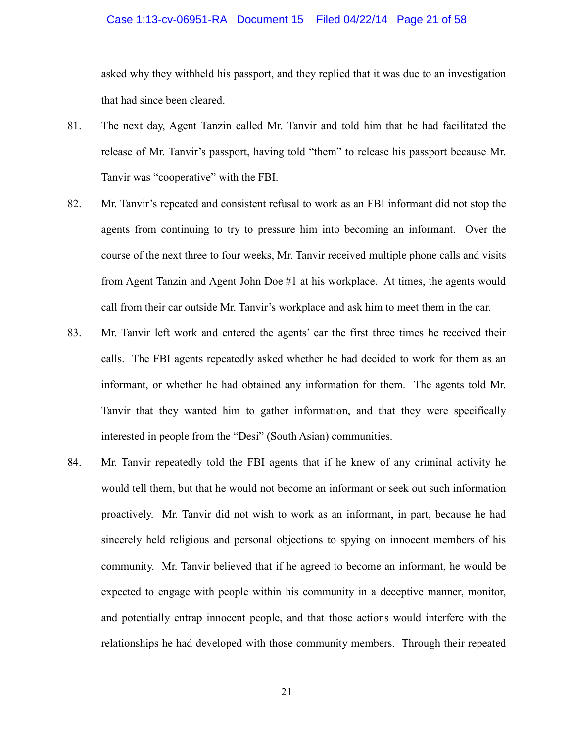#### Case 1:13-cv-06951-RA Document 15 Filed 04/22/14 Page 21 of 58

asked why they withheld his passport, and they replied that it was due to an investigation that had since been cleared.

- 81. The next day, Agent Tanzin called Mr. Tanvir and told him that he had facilitated the release of Mr. Tanvir's passport, having told "them" to release his passport because Mr. Tanvir was "cooperative" with the FBI.
- 82. Mr. Tanvir's repeated and consistent refusal to work as an FBI informant did not stop the agents from continuing to try to pressure him into becoming an informant. Over the course of the next three to four weeks, Mr. Tanvir received multiple phone calls and visits from Agent Tanzin and Agent John Doe #1 at his workplace. At times, the agents would call from their car outside Mr. Tanvir's workplace and ask him to meet them in the car.
- 83. Mr. Tanvir left work and entered the agents' car the first three times he received their calls. The FBI agents repeatedly asked whether he had decided to work for them as an informant, or whether he had obtained any information for them. The agents told Mr. Tanvir that they wanted him to gather information, and that they were specifically interested in people from the "Desi" (South Asian) communities.
- 84. Mr. Tanvir repeatedly told the FBI agents that if he knew of any criminal activity he would tell them, but that he would not become an informant or seek out such information proactively. Mr. Tanvir did not wish to work as an informant, in part, because he had sincerely held religious and personal objections to spying on innocent members of his community. Mr. Tanvir believed that if he agreed to become an informant, he would be expected to engage with people within his community in a deceptive manner, monitor, and potentially entrap innocent people, and that those actions would interfere with the relationships he had developed with those community members. Through their repeated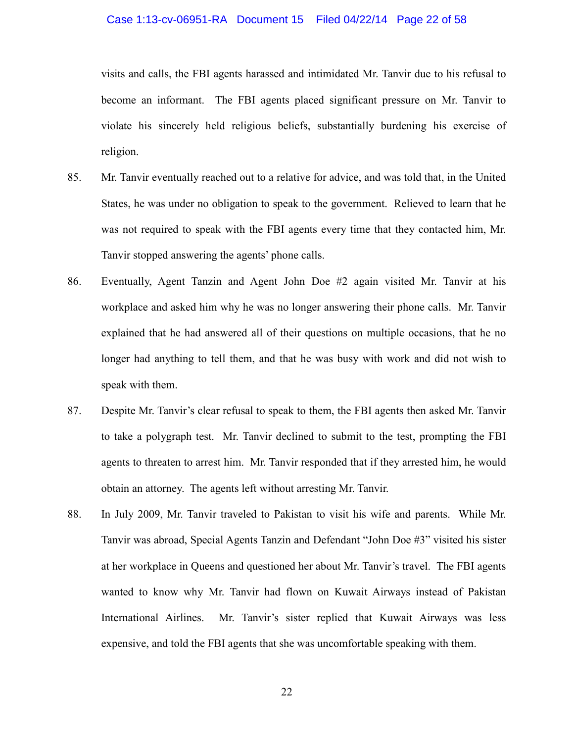#### Case 1:13-cv-06951-RA Document 15 Filed 04/22/14 Page 22 of 58

visits and calls, the FBI agents harassed and intimidated Mr. Tanvir due to his refusal to become an informant. The FBI agents placed significant pressure on Mr. Tanvir to violate his sincerely held religious beliefs, substantially burdening his exercise of religion.

- 85. Mr. Tanvir eventually reached out to a relative for advice, and was told that, in the United States, he was under no obligation to speak to the government. Relieved to learn that he was not required to speak with the FBI agents every time that they contacted him, Mr. Tanvir stopped answering the agents' phone calls.
- 86. Eventually, Agent Tanzin and Agent John Doe #2 again visited Mr. Tanvir at his workplace and asked him why he was no longer answering their phone calls. Mr. Tanvir explained that he had answered all of their questions on multiple occasions, that he no longer had anything to tell them, and that he was busy with work and did not wish to speak with them.
- 87. Despite Mr. Tanvir's clear refusal to speak to them, the FBI agents then asked Mr. Tanvir to take a polygraph test. Mr. Tanvir declined to submit to the test, prompting the FBI agents to threaten to arrest him. Mr. Tanvir responded that if they arrested him, he would obtain an attorney. The agents left without arresting Mr. Tanvir.
- 88. In July 2009, Mr. Tanvir traveled to Pakistan to visit his wife and parents. While Mr. Tanvir was abroad, Special Agents Tanzin and Defendant "John Doe #3" visited his sister at her workplace in Queens and questioned her about Mr. Tanvir's travel. The FBI agents wanted to know why Mr. Tanvir had flown on Kuwait Airways instead of Pakistan International Airlines. Mr. Tanvir's sister replied that Kuwait Airways was less expensive, and told the FBI agents that she was uncomfortable speaking with them.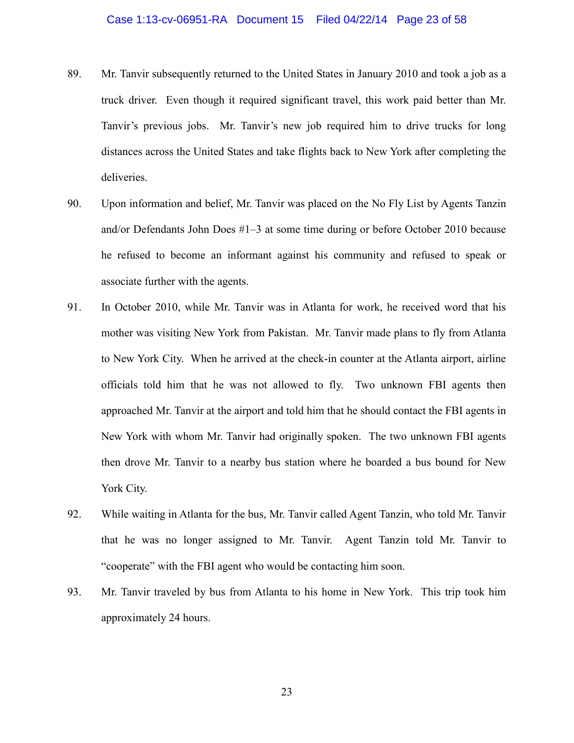- 89. Mr. Tanvir subsequently returned to the United States in January 2010 and took a job as a truck driver. Even though it required significant travel, this work paid better than Mr. Tanvir's previous jobs. Mr. Tanvir's new job required him to drive trucks for long distances across the United States and take flights back to New York after completing the deliveries.
- 90. Upon information and belief, Mr. Tanvir was placed on the No Fly List by Agents Tanzin and/or Defendants John Does #1–3 at some time during or before October 2010 because he refused to become an informant against his community and refused to speak or associate further with the agents.
- 91. In October 2010, while Mr. Tanvir was in Atlanta for work, he received word that his mother was visiting New York from Pakistan. Mr. Tanvir made plans to fly from Atlanta to New York City. When he arrived at the check-in counter at the Atlanta airport, airline officials told him that he was not allowed to fly. Two unknown FBI agents then approached Mr. Tanvir at the airport and told him that he should contact the FBI agents in New York with whom Mr. Tanvir had originally spoken. The two unknown FBI agents then drove Mr. Tanvir to a nearby bus station where he boarded a bus bound for New York City.
- 92. While waiting in Atlanta for the bus, Mr. Tanvir called Agent Tanzin, who told Mr. Tanvir that he was no longer assigned to Mr. Tanvir. Agent Tanzin told Mr. Tanvir to "cooperate" with the FBI agent who would be contacting him soon.
- 93. Mr. Tanvir traveled by bus from Atlanta to his home in New York. This trip took him approximately 24 hours.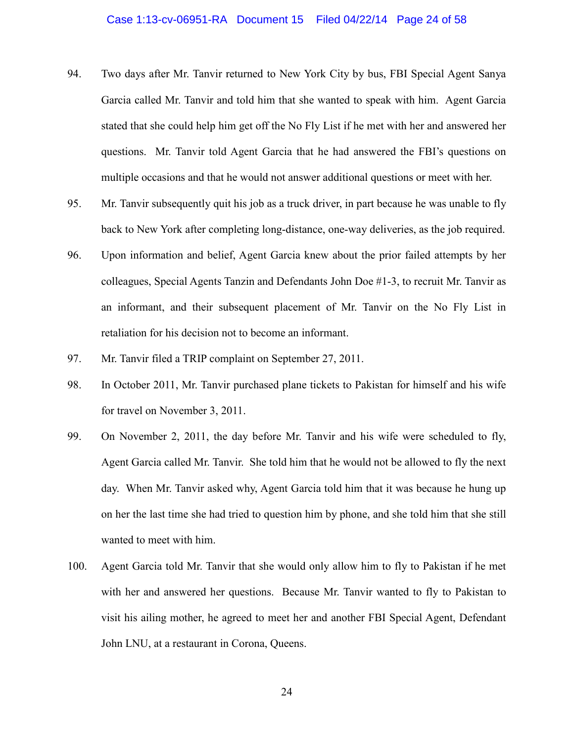#### Case 1:13-cv-06951-RA Document 15 Filed 04/22/14 Page 24 of 58

- 94. Two days after Mr. Tanvir returned to New York City by bus, FBI Special Agent Sanya Garcia called Mr. Tanvir and told him that she wanted to speak with him. Agent Garcia stated that she could help him get off the No Fly List if he met with her and answered her questions. Mr. Tanvir told Agent Garcia that he had answered the FBI's questions on multiple occasions and that he would not answer additional questions or meet with her.
- 95. Mr. Tanvir subsequently quit his job as a truck driver, in part because he was unable to fly back to New York after completing long-distance, one-way deliveries, as the job required.
- 96. Upon information and belief, Agent Garcia knew about the prior failed attempts by her colleagues, Special Agents Tanzin and Defendants John Doe #1-3, to recruit Mr. Tanvir as an informant, and their subsequent placement of Mr. Tanvir on the No Fly List in retaliation for his decision not to become an informant.
- 97. Mr. Tanvir filed a TRIP complaint on September 27, 2011.
- 98. In October 2011, Mr. Tanvir purchased plane tickets to Pakistan for himself and his wife for travel on November 3, 2011.
- 99. On November 2, 2011, the day before Mr. Tanvir and his wife were scheduled to fly, Agent Garcia called Mr. Tanvir. She told him that he would not be allowed to fly the next day. When Mr. Tanvir asked why, Agent Garcia told him that it was because he hung up on her the last time she had tried to question him by phone, and she told him that she still wanted to meet with him.
- 100. Agent Garcia told Mr. Tanvir that she would only allow him to fly to Pakistan if he met with her and answered her questions. Because Mr. Tanvir wanted to fly to Pakistan to visit his ailing mother, he agreed to meet her and another FBI Special Agent, Defendant John LNU, at a restaurant in Corona, Queens.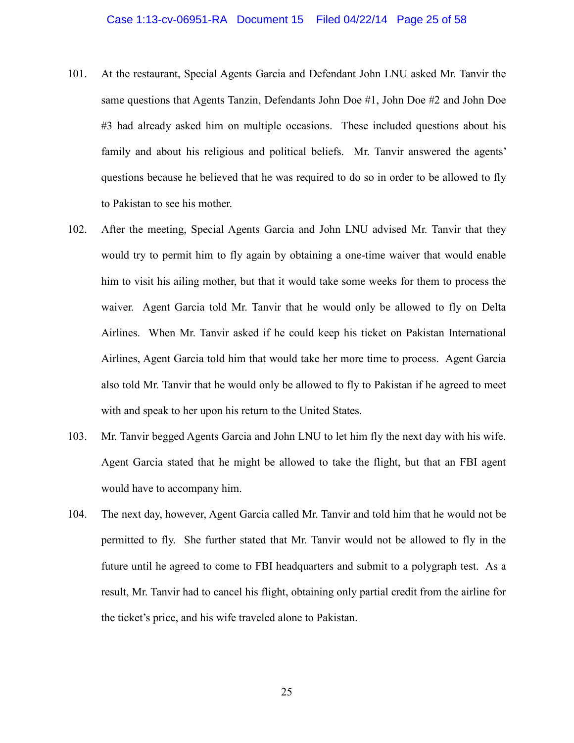#### Case 1:13-cv-06951-RA Document 15 Filed 04/22/14 Page 25 of 58

- 101. At the restaurant, Special Agents Garcia and Defendant John LNU asked Mr. Tanvir the same questions that Agents Tanzin, Defendants John Doe #1, John Doe #2 and John Doe #3 had already asked him on multiple occasions. These included questions about his family and about his religious and political beliefs. Mr. Tanvir answered the agents' questions because he believed that he was required to do so in order to be allowed to fly to Pakistan to see his mother.
- 102. After the meeting, Special Agents Garcia and John LNU advised Mr. Tanvir that they would try to permit him to fly again by obtaining a one-time waiver that would enable him to visit his ailing mother, but that it would take some weeks for them to process the waiver. Agent Garcia told Mr. Tanvir that he would only be allowed to fly on Delta Airlines. When Mr. Tanvir asked if he could keep his ticket on Pakistan International Airlines, Agent Garcia told him that would take her more time to process. Agent Garcia also told Mr. Tanvir that he would only be allowed to fly to Pakistan if he agreed to meet with and speak to her upon his return to the United States.
- 103. Mr. Tanvir begged Agents Garcia and John LNU to let him fly the next day with his wife. Agent Garcia stated that he might be allowed to take the flight, but that an FBI agent would have to accompany him.
- 104. The next day, however, Agent Garcia called Mr. Tanvir and told him that he would not be permitted to fly. She further stated that Mr. Tanvir would not be allowed to fly in the future until he agreed to come to FBI headquarters and submit to a polygraph test. As a result, Mr. Tanvir had to cancel his flight, obtaining only partial credit from the airline for the ticket's price, and his wife traveled alone to Pakistan.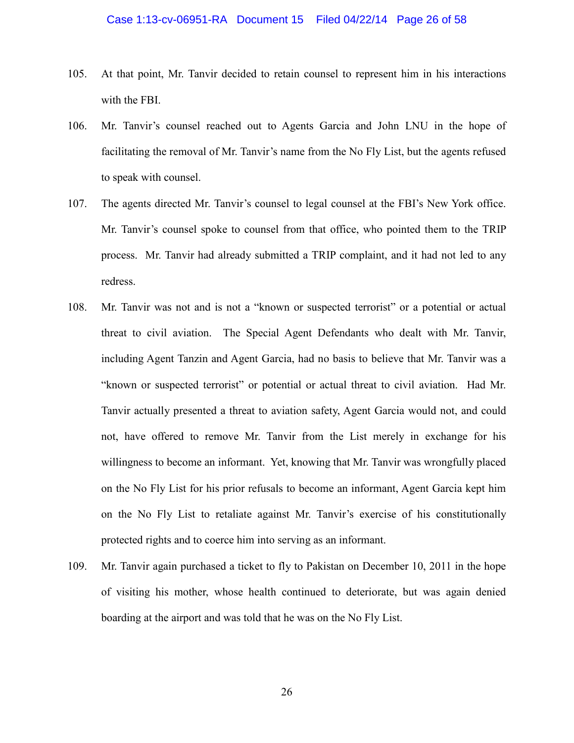- 105. At that point, Mr. Tanvir decided to retain counsel to represent him in his interactions with the FBI.
- 106. Mr. Tanvir's counsel reached out to Agents Garcia and John LNU in the hope of facilitating the removal of Mr. Tanvir's name from the No Fly List, but the agents refused to speak with counsel.
- 107. The agents directed Mr. Tanvir's counsel to legal counsel at the FBI's New York office. Mr. Tanvir's counsel spoke to counsel from that office, who pointed them to the TRIP process. Mr. Tanvir had already submitted a TRIP complaint, and it had not led to any redress.
- 108. Mr. Tanvir was not and is not a "known or suspected terrorist" or a potential or actual threat to civil aviation. The Special Agent Defendants who dealt with Mr. Tanvir, including Agent Tanzin and Agent Garcia, had no basis to believe that Mr. Tanvir was a "known or suspected terrorist" or potential or actual threat to civil aviation. Had Mr. Tanvir actually presented a threat to aviation safety, Agent Garcia would not, and could not, have offered to remove Mr. Tanvir from the List merely in exchange for his willingness to become an informant. Yet, knowing that Mr. Tanvir was wrongfully placed on the No Fly List for his prior refusals to become an informant, Agent Garcia kept him on the No Fly List to retaliate against Mr. Tanvir's exercise of his constitutionally protected rights and to coerce him into serving as an informant.
- 109. Mr. Tanvir again purchased a ticket to fly to Pakistan on December 10, 2011 in the hope of visiting his mother, whose health continued to deteriorate, but was again denied boarding at the airport and was told that he was on the No Fly List.

26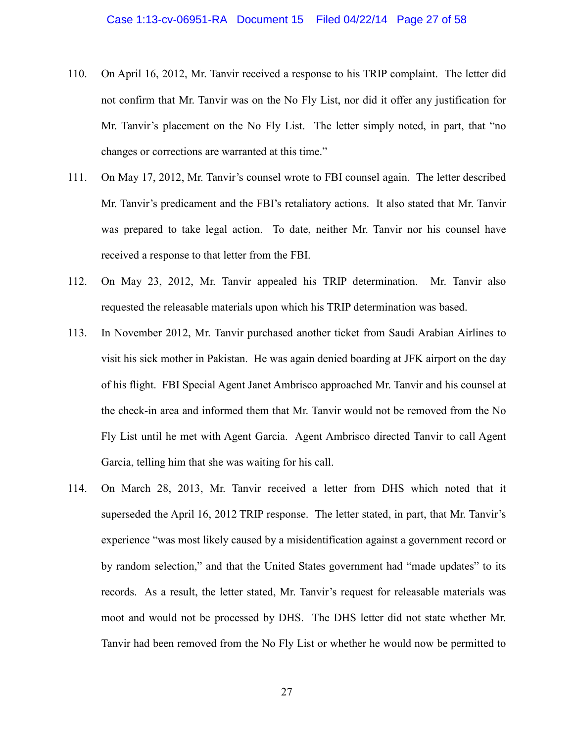- 110. On April 16, 2012, Mr. Tanvir received a response to his TRIP complaint. The letter did not confirm that Mr. Tanvir was on the No Fly List, nor did it offer any justification for Mr. Tanvir's placement on the No Fly List. The letter simply noted, in part, that "no changes or corrections are warranted at this time."
- 111. On May 17, 2012, Mr. Tanvir's counsel wrote to FBI counsel again. The letter described Mr. Tanvir's predicament and the FBI's retaliatory actions. It also stated that Mr. Tanvir was prepared to take legal action. To date, neither Mr. Tanvir nor his counsel have received a response to that letter from the FBI.
- 112. On May 23, 2012, Mr. Tanvir appealed his TRIP determination. Mr. Tanvir also requested the releasable materials upon which his TRIP determination was based.
- 113. In November 2012, Mr. Tanvir purchased another ticket from Saudi Arabian Airlines to visit his sick mother in Pakistan. He was again denied boarding at JFK airport on the day of his flight. FBI Special Agent Janet Ambrisco approached Mr. Tanvir and his counsel at the check-in area and informed them that Mr. Tanvir would not be removed from the No Fly List until he met with Agent Garcia. Agent Ambrisco directed Tanvir to call Agent Garcia, telling him that she was waiting for his call.
- 114. On March 28, 2013, Mr. Tanvir received a letter from DHS which noted that it superseded the April 16, 2012 TRIP response. The letter stated, in part, that Mr. Tanvir's experience "was most likely caused by a misidentification against a government record or by random selection," and that the United States government had "made updates" to its records. As a result, the letter stated, Mr. Tanvir's request for releasable materials was moot and would not be processed by DHS. The DHS letter did not state whether Mr. Tanvir had been removed from the No Fly List or whether he would now be permitted to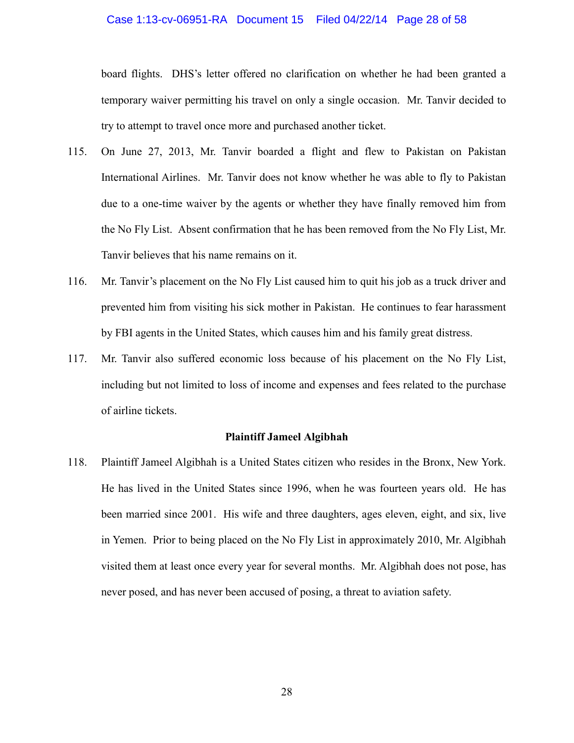#### Case 1:13-cv-06951-RA Document 15 Filed 04/22/14 Page 28 of 58

board flights. DHS's letter offered no clarification on whether he had been granted a temporary waiver permitting his travel on only a single occasion. Mr. Tanvir decided to try to attempt to travel once more and purchased another ticket.

- 115. On June 27, 2013, Mr. Tanvir boarded a flight and flew to Pakistan on Pakistan International Airlines. Mr. Tanvir does not know whether he was able to fly to Pakistan due to a one-time waiver by the agents or whether they have finally removed him from the No Fly List. Absent confirmation that he has been removed from the No Fly List, Mr. Tanvir believes that his name remains on it.
- 116. Mr. Tanvir's placement on the No Fly List caused him to quit his job as a truck driver and prevented him from visiting his sick mother in Pakistan. He continues to fear harassment by FBI agents in the United States, which causes him and his family great distress.
- 117. Mr. Tanvir also suffered economic loss because of his placement on the No Fly List, including but not limited to loss of income and expenses and fees related to the purchase of airline tickets.

#### **Plaintiff Jameel Algibhah**

118. Plaintiff Jameel Algibhah is a United States citizen who resides in the Bronx, New York. He has lived in the United States since 1996, when he was fourteen years old. He has been married since 2001. His wife and three daughters, ages eleven, eight, and six, live in Yemen. Prior to being placed on the No Fly List in approximately 2010, Mr. Algibhah visited them at least once every year for several months. Mr. Algibhah does not pose, has never posed, and has never been accused of posing, a threat to aviation safety.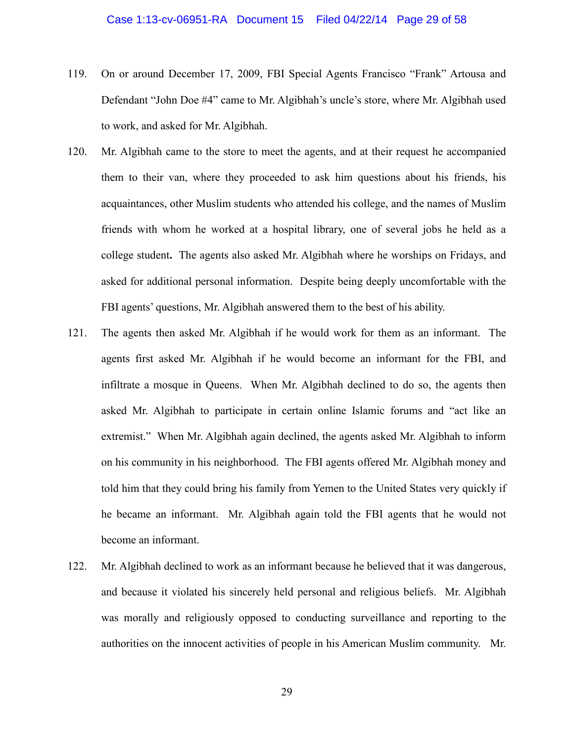- 119. On or around December 17, 2009, FBI Special Agents Francisco "Frank" Artousa and Defendant "John Doe #4" came to Mr. Algibhah's uncle's store, where Mr. Algibhah used to work, and asked for Mr. Algibhah.
- 120. Mr. Algibhah came to the store to meet the agents, and at their request he accompanied them to their van, where they proceeded to ask him questions about his friends, his acquaintances, other Muslim students who attended his college, and the names of Muslim friends with whom he worked at a hospital library, one of several jobs he held as a college student**.** The agents also asked Mr. Algibhah where he worships on Fridays, and asked for additional personal information. Despite being deeply uncomfortable with the FBI agents' questions, Mr. Algibhah answered them to the best of his ability.
- 121. The agents then asked Mr. Algibhah if he would work for them as an informant. The agents first asked Mr. Algibhah if he would become an informant for the FBI, and infiltrate a mosque in Queens. When Mr. Algibhah declined to do so, the agents then asked Mr. Algibhah to participate in certain online Islamic forums and "act like an extremist." When Mr. Algibhah again declined, the agents asked Mr. Algibhah to inform on his community in his neighborhood. The FBI agents offered Mr. Algibhah money and told him that they could bring his family from Yemen to the United States very quickly if he became an informant. Mr. Algibhah again told the FBI agents that he would not become an informant.
- 122. Mr. Algibhah declined to work as an informant because he believed that it was dangerous, and because it violated his sincerely held personal and religious beliefs. Mr. Algibhah was morally and religiously opposed to conducting surveillance and reporting to the authorities on the innocent activities of people in his American Muslim community. Mr.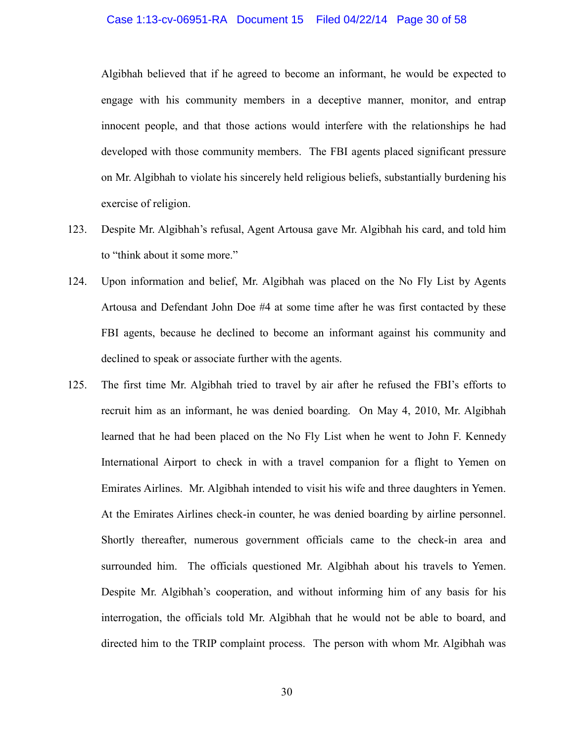#### Case 1:13-cv-06951-RA Document 15 Filed 04/22/14 Page 30 of 58

Algibhah believed that if he agreed to become an informant, he would be expected to engage with his community members in a deceptive manner, monitor, and entrap innocent people, and that those actions would interfere with the relationships he had developed with those community members. The FBI agents placed significant pressure on Mr. Algibhah to violate his sincerely held religious beliefs, substantially burdening his exercise of religion.

- 123. Despite Mr. Algibhah's refusal, Agent Artousa gave Mr. Algibhah his card, and told him to "think about it some more."
- 124. Upon information and belief, Mr. Algibhah was placed on the No Fly List by Agents Artousa and Defendant John Doe #4 at some time after he was first contacted by these FBI agents, because he declined to become an informant against his community and declined to speak or associate further with the agents.
- 125. The first time Mr. Algibhah tried to travel by air after he refused the FBI's efforts to recruit him as an informant, he was denied boarding. On May 4, 2010, Mr. Algibhah learned that he had been placed on the No Fly List when he went to John F. Kennedy International Airport to check in with a travel companion for a flight to Yemen on Emirates Airlines. Mr. Algibhah intended to visit his wife and three daughters in Yemen. At the Emirates Airlines check-in counter, he was denied boarding by airline personnel. Shortly thereafter, numerous government officials came to the check-in area and surrounded him. The officials questioned Mr. Algibhah about his travels to Yemen. Despite Mr. Algibhah's cooperation, and without informing him of any basis for his interrogation, the officials told Mr. Algibhah that he would not be able to board, and directed him to the TRIP complaint process. The person with whom Mr. Algibhah was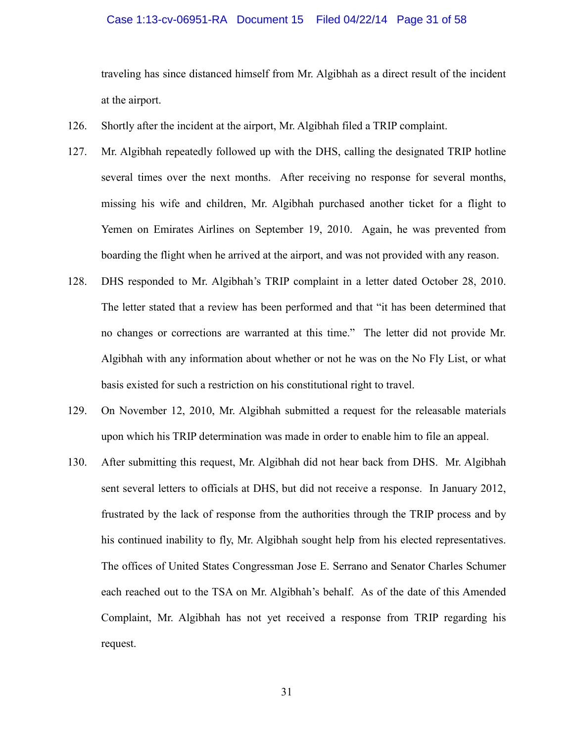#### Case 1:13-cv-06951-RA Document 15 Filed 04/22/14 Page 31 of 58

traveling has since distanced himself from Mr. Algibhah as a direct result of the incident at the airport.

- 126. Shortly after the incident at the airport, Mr. Algibhah filed a TRIP complaint.
- 127. Mr. Algibhah repeatedly followed up with the DHS, calling the designated TRIP hotline several times over the next months. After receiving no response for several months, missing his wife and children, Mr. Algibhah purchased another ticket for a flight to Yemen on Emirates Airlines on September 19, 2010. Again, he was prevented from boarding the flight when he arrived at the airport, and was not provided with any reason.
- 128. DHS responded to Mr. Algibhah's TRIP complaint in a letter dated October 28, 2010. The letter stated that a review has been performed and that "it has been determined that no changes or corrections are warranted at this time." The letter did not provide Mr. Algibhah with any information about whether or not he was on the No Fly List, or what basis existed for such a restriction on his constitutional right to travel.
- 129. On November 12, 2010, Mr. Algibhah submitted a request for the releasable materials upon which his TRIP determination was made in order to enable him to file an appeal.
- 130. After submitting this request, Mr. Algibhah did not hear back from DHS. Mr. Algibhah sent several letters to officials at DHS, but did not receive a response. In January 2012, frustrated by the lack of response from the authorities through the TRIP process and by his continued inability to fly, Mr. Algibhah sought help from his elected representatives. The offices of United States Congressman Jose E. Serrano and Senator Charles Schumer each reached out to the TSA on Mr. Algibhah's behalf. As of the date of this Amended Complaint, Mr. Algibhah has not yet received a response from TRIP regarding his request.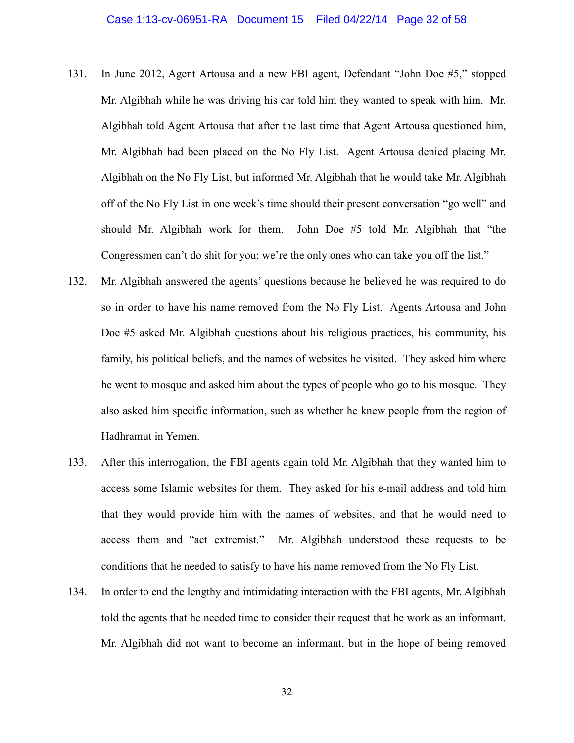- 131. In June 2012, Agent Artousa and a new FBI agent, Defendant "John Doe #5," stopped Mr. Algibhah while he was driving his car told him they wanted to speak with him. Mr. Algibhah told Agent Artousa that after the last time that Agent Artousa questioned him, Mr. Algibhah had been placed on the No Fly List. Agent Artousa denied placing Mr. Algibhah on the No Fly List, but informed Mr. Algibhah that he would take Mr. Algibhah off of the No Fly List in one week's time should their present conversation "go well" and should Mr. Algibhah work for them. John Doe #5 told Mr. Algibhah that "the Congressmen can't do shit for you; we're the only ones who can take you off the list."
- 132. Mr. Algibhah answered the agents' questions because he believed he was required to do so in order to have his name removed from the No Fly List. Agents Artousa and John Doe #5 asked Mr. Algibhah questions about his religious practices, his community, his family, his political beliefs, and the names of websites he visited. They asked him where he went to mosque and asked him about the types of people who go to his mosque. They also asked him specific information, such as whether he knew people from the region of Hadhramut in Yemen.
- 133. After this interrogation, the FBI agents again told Mr. Algibhah that they wanted him to access some Islamic websites for them. They asked for his e-mail address and told him that they would provide him with the names of websites, and that he would need to access them and "act extremist." Mr. Algibhah understood these requests to be conditions that he needed to satisfy to have his name removed from the No Fly List.
- 134. In order to end the lengthy and intimidating interaction with the FBI agents, Mr. Algibhah told the agents that he needed time to consider their request that he work as an informant. Mr. Algibhah did not want to become an informant, but in the hope of being removed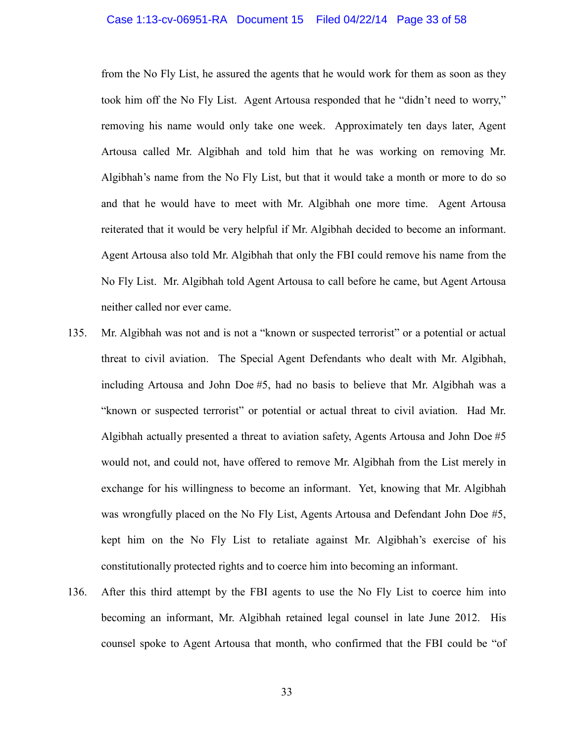#### Case 1:13-cv-06951-RA Document 15 Filed 04/22/14 Page 33 of 58

from the No Fly List, he assured the agents that he would work for them as soon as they took him off the No Fly List. Agent Artousa responded that he "didn't need to worry," removing his name would only take one week. Approximately ten days later, Agent Artousa called Mr. Algibhah and told him that he was working on removing Mr. Algibhah's name from the No Fly List, but that it would take a month or more to do so and that he would have to meet with Mr. Algibhah one more time. Agent Artousa reiterated that it would be very helpful if Mr. Algibhah decided to become an informant. Agent Artousa also told Mr. Algibhah that only the FBI could remove his name from the No Fly List. Mr. Algibhah told Agent Artousa to call before he came, but Agent Artousa neither called nor ever came.

- 135. Mr. Algibhah was not and is not a "known or suspected terrorist" or a potential or actual threat to civil aviation. The Special Agent Defendants who dealt with Mr. Algibhah, including Artousa and John Doe #5, had no basis to believe that Mr. Algibhah was a "known or suspected terrorist" or potential or actual threat to civil aviation. Had Mr. Algibhah actually presented a threat to aviation safety, Agents Artousa and John Doe #5 would not, and could not, have offered to remove Mr. Algibhah from the List merely in exchange for his willingness to become an informant. Yet, knowing that Mr. Algibhah was wrongfully placed on the No Fly List, Agents Artousa and Defendant John Doe #5, kept him on the No Fly List to retaliate against Mr. Algibhah's exercise of his constitutionally protected rights and to coerce him into becoming an informant.
- 136. After this third attempt by the FBI agents to use the No Fly List to coerce him into becoming an informant, Mr. Algibhah retained legal counsel in late June 2012. His counsel spoke to Agent Artousa that month, who confirmed that the FBI could be "of

33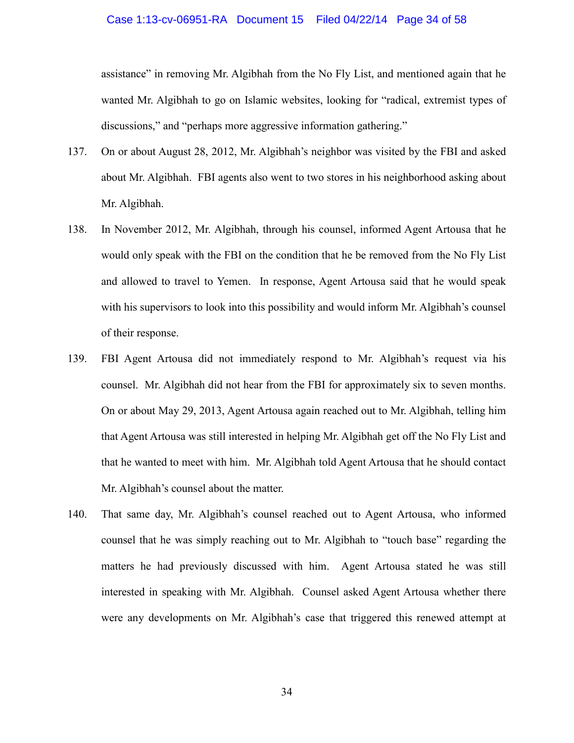#### Case 1:13-cv-06951-RA Document 15 Filed 04/22/14 Page 34 of 58

assistance" in removing Mr. Algibhah from the No Fly List, and mentioned again that he wanted Mr. Algibhah to go on Islamic websites, looking for "radical, extremist types of discussions," and "perhaps more aggressive information gathering."

- 137. On or about August 28, 2012, Mr. Algibhah's neighbor was visited by the FBI and asked about Mr. Algibhah. FBI agents also went to two stores in his neighborhood asking about Mr. Algibhah.
- 138. In November 2012, Mr. Algibhah, through his counsel, informed Agent Artousa that he would only speak with the FBI on the condition that he be removed from the No Fly List and allowed to travel to Yemen. In response, Agent Artousa said that he would speak with his supervisors to look into this possibility and would inform Mr. Algibhah's counsel of their response.
- 139. FBI Agent Artousa did not immediately respond to Mr. Algibhah's request via his counsel. Mr. Algibhah did not hear from the FBI for approximately six to seven months. On or about May 29, 2013, Agent Artousa again reached out to Mr. Algibhah, telling him that Agent Artousa was still interested in helping Mr. Algibhah get off the No Fly List and that he wanted to meet with him. Mr. Algibhah told Agent Artousa that he should contact Mr. Algibhah's counsel about the matter.
- 140. That same day, Mr. Algibhah's counsel reached out to Agent Artousa, who informed counsel that he was simply reaching out to Mr. Algibhah to "touch base" regarding the matters he had previously discussed with him. Agent Artousa stated he was still interested in speaking with Mr. Algibhah. Counsel asked Agent Artousa whether there were any developments on Mr. Algibhah's case that triggered this renewed attempt at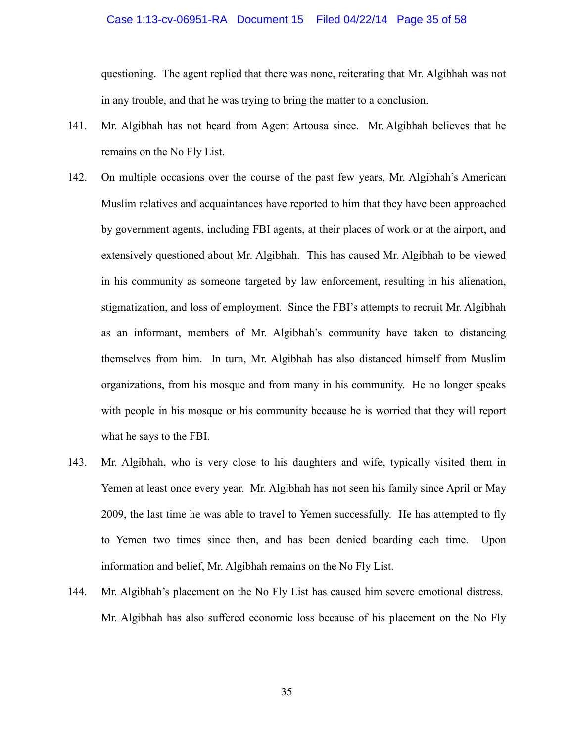#### Case 1:13-cv-06951-RA Document 15 Filed 04/22/14 Page 35 of 58

questioning. The agent replied that there was none, reiterating that Mr. Algibhah was not in any trouble, and that he was trying to bring the matter to a conclusion.

- 141. Mr. Algibhah has not heard from Agent Artousa since. Mr. Algibhah believes that he remains on the No Fly List.
- 142. On multiple occasions over the course of the past few years, Mr. Algibhah's American Muslim relatives and acquaintances have reported to him that they have been approached by government agents, including FBI agents, at their places of work or at the airport, and extensively questioned about Mr. Algibhah. This has caused Mr. Algibhah to be viewed in his community as someone targeted by law enforcement, resulting in his alienation, stigmatization, and loss of employment. Since the FBI's attempts to recruit Mr. Algibhah as an informant, members of Mr. Algibhah's community have taken to distancing themselves from him. In turn, Mr. Algibhah has also distanced himself from Muslim organizations, from his mosque and from many in his community. He no longer speaks with people in his mosque or his community because he is worried that they will report what he says to the FBI.
- 143. Mr. Algibhah, who is very close to his daughters and wife, typically visited them in Yemen at least once every year. Mr. Algibhah has not seen his family since April or May 2009, the last time he was able to travel to Yemen successfully. He has attempted to fly to Yemen two times since then, and has been denied boarding each time. Upon information and belief, Mr. Algibhah remains on the No Fly List.
- 144. Mr. Algibhah's placement on the No Fly List has caused him severe emotional distress. Mr. Algibhah has also suffered economic loss because of his placement on the No Fly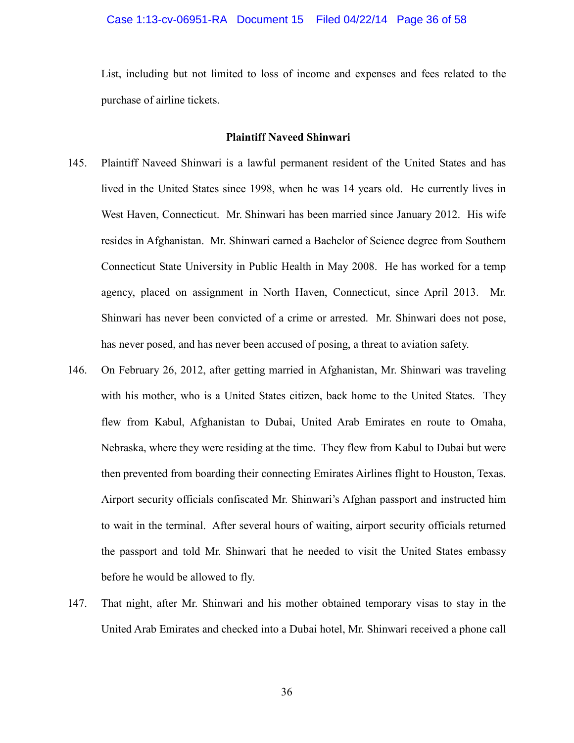List, including but not limited to loss of income and expenses and fees related to the purchase of airline tickets.

#### **Plaintiff Naveed Shinwari**

- 145. Plaintiff Naveed Shinwari is a lawful permanent resident of the United States and has lived in the United States since 1998, when he was 14 years old. He currently lives in West Haven, Connecticut. Mr. Shinwari has been married since January 2012. His wife resides in Afghanistan. Mr. Shinwari earned a Bachelor of Science degree from Southern Connecticut State University in Public Health in May 2008. He has worked for a temp agency, placed on assignment in North Haven, Connecticut, since April 2013. Mr. Shinwari has never been convicted of a crime or arrested. Mr. Shinwari does not pose, has never posed, and has never been accused of posing, a threat to aviation safety.
- 146. On February 26, 2012, after getting married in Afghanistan, Mr. Shinwari was traveling with his mother, who is a United States citizen, back home to the United States. They flew from Kabul, Afghanistan to Dubai, United Arab Emirates en route to Omaha, Nebraska, where they were residing at the time. They flew from Kabul to Dubai but were then prevented from boarding their connecting Emirates Airlines flight to Houston, Texas. Airport security officials confiscated Mr. Shinwari's Afghan passport and instructed him to wait in the terminal. After several hours of waiting, airport security officials returned the passport and told Mr. Shinwari that he needed to visit the United States embassy before he would be allowed to fly.
- 147. That night, after Mr. Shinwari and his mother obtained temporary visas to stay in the United Arab Emirates and checked into a Dubai hotel, Mr. Shinwari received a phone call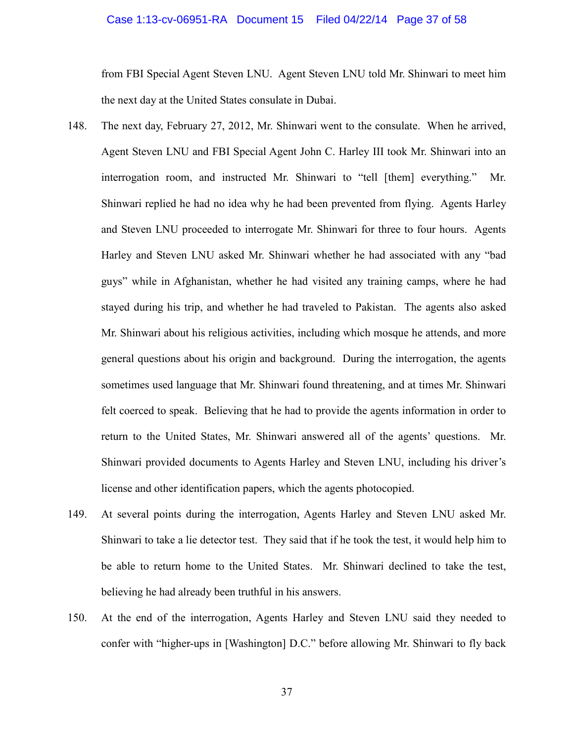#### Case 1:13-cv-06951-RA Document 15 Filed 04/22/14 Page 37 of 58

from FBI Special Agent Steven LNU. Agent Steven LNU told Mr. Shinwari to meet him the next day at the United States consulate in Dubai.

- 148. The next day, February 27, 2012, Mr. Shinwari went to the consulate. When he arrived, Agent Steven LNU and FBI Special Agent John C. Harley III took Mr. Shinwari into an interrogation room, and instructed Mr. Shinwari to "tell [them] everything." Mr. Shinwari replied he had no idea why he had been prevented from flying. Agents Harley and Steven LNU proceeded to interrogate Mr. Shinwari for three to four hours. Agents Harley and Steven LNU asked Mr. Shinwari whether he had associated with any "bad guys" while in Afghanistan, whether he had visited any training camps, where he had stayed during his trip, and whether he had traveled to Pakistan. The agents also asked Mr. Shinwari about his religious activities, including which mosque he attends, and more general questions about his origin and background. During the interrogation, the agents sometimes used language that Mr. Shinwari found threatening, and at times Mr. Shinwari felt coerced to speak. Believing that he had to provide the agents information in order to return to the United States, Mr. Shinwari answered all of the agents' questions. Mr. Shinwari provided documents to Agents Harley and Steven LNU, including his driver's license and other identification papers, which the agents photocopied.
- 149. At several points during the interrogation, Agents Harley and Steven LNU asked Mr. Shinwari to take a lie detector test. They said that if he took the test, it would help him to be able to return home to the United States. Mr. Shinwari declined to take the test, believing he had already been truthful in his answers.
- 150. At the end of the interrogation, Agents Harley and Steven LNU said they needed to confer with "higher-ups in [Washington] D.C." before allowing Mr. Shinwari to fly back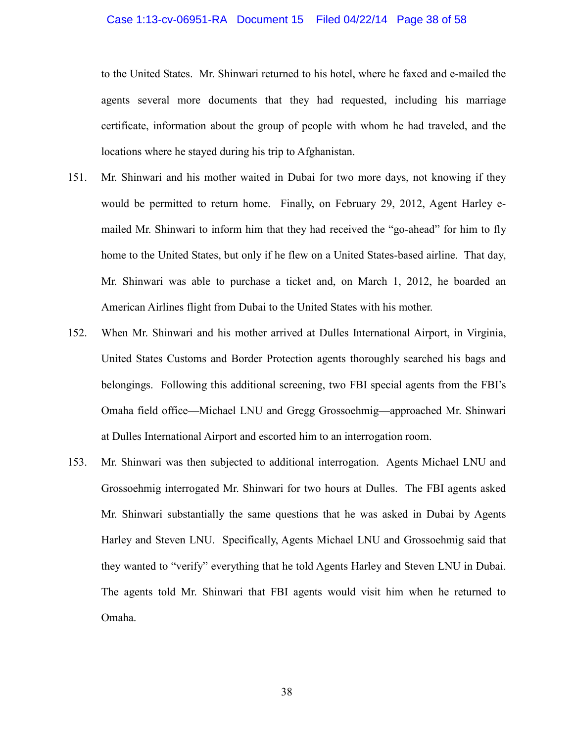#### Case 1:13-cv-06951-RA Document 15 Filed 04/22/14 Page 38 of 58

to the United States. Mr. Shinwari returned to his hotel, where he faxed and e-mailed the agents several more documents that they had requested, including his marriage certificate, information about the group of people with whom he had traveled, and the locations where he stayed during his trip to Afghanistan.

- 151. Mr. Shinwari and his mother waited in Dubai for two more days, not knowing if they would be permitted to return home. Finally, on February 29, 2012, Agent Harley emailed Mr. Shinwari to inform him that they had received the "go-ahead" for him to fly home to the United States, but only if he flew on a United States-based airline. That day, Mr. Shinwari was able to purchase a ticket and, on March 1, 2012, he boarded an American Airlines flight from Dubai to the United States with his mother.
- 152. When Mr. Shinwari and his mother arrived at Dulles International Airport, in Virginia, United States Customs and Border Protection agents thoroughly searched his bags and belongings. Following this additional screening, two FBI special agents from the FBI's Omaha field office—Michael LNU and Gregg Grossoehmig—approached Mr. Shinwari at Dulles International Airport and escorted him to an interrogation room.
- 153. Mr. Shinwari was then subjected to additional interrogation. Agents Michael LNU and Grossoehmig interrogated Mr. Shinwari for two hours at Dulles. The FBI agents asked Mr. Shinwari substantially the same questions that he was asked in Dubai by Agents Harley and Steven LNU. Specifically, Agents Michael LNU and Grossoehmig said that they wanted to "verify" everything that he told Agents Harley and Steven LNU in Dubai. The agents told Mr. Shinwari that FBI agents would visit him when he returned to Omaha.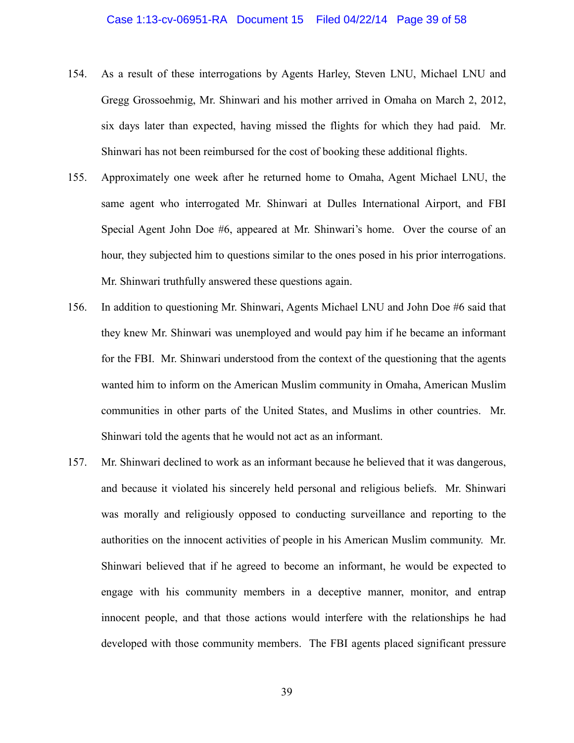#### Case 1:13-cv-06951-RA Document 15 Filed 04/22/14 Page 39 of 58

- 154. As a result of these interrogations by Agents Harley, Steven LNU, Michael LNU and Gregg Grossoehmig, Mr. Shinwari and his mother arrived in Omaha on March 2, 2012, six days later than expected, having missed the flights for which they had paid. Mr. Shinwari has not been reimbursed for the cost of booking these additional flights.
- 155. Approximately one week after he returned home to Omaha, Agent Michael LNU, the same agent who interrogated Mr. Shinwari at Dulles International Airport, and FBI Special Agent John Doe #6, appeared at Mr. Shinwari's home. Over the course of an hour, they subjected him to questions similar to the ones posed in his prior interrogations. Mr. Shinwari truthfully answered these questions again.
- 156. In addition to questioning Mr. Shinwari, Agents Michael LNU and John Doe #6 said that they knew Mr. Shinwari was unemployed and would pay him if he became an informant for the FBI. Mr. Shinwari understood from the context of the questioning that the agents wanted him to inform on the American Muslim community in Omaha, American Muslim communities in other parts of the United States, and Muslims in other countries. Mr. Shinwari told the agents that he would not act as an informant.
- 157. Mr. Shinwari declined to work as an informant because he believed that it was dangerous, and because it violated his sincerely held personal and religious beliefs. Mr. Shinwari was morally and religiously opposed to conducting surveillance and reporting to the authorities on the innocent activities of people in his American Muslim community. Mr. Shinwari believed that if he agreed to become an informant, he would be expected to engage with his community members in a deceptive manner, monitor, and entrap innocent people, and that those actions would interfere with the relationships he had developed with those community members. The FBI agents placed significant pressure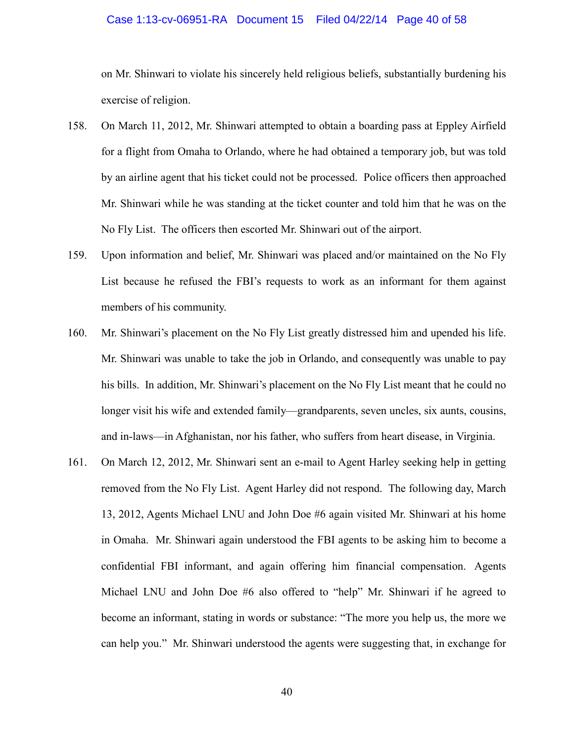#### Case 1:13-cv-06951-RA Document 15 Filed 04/22/14 Page 40 of 58

on Mr. Shinwari to violate his sincerely held religious beliefs, substantially burdening his exercise of religion.

- 158. On March 11, 2012, Mr. Shinwari attempted to obtain a boarding pass at Eppley Airfield for a flight from Omaha to Orlando, where he had obtained a temporary job, but was told by an airline agent that his ticket could not be processed. Police officers then approached Mr. Shinwari while he was standing at the ticket counter and told him that he was on the No Fly List. The officers then escorted Mr. Shinwari out of the airport.
- 159. Upon information and belief, Mr. Shinwari was placed and/or maintained on the No Fly List because he refused the FBI's requests to work as an informant for them against members of his community.
- 160. Mr. Shinwari's placement on the No Fly List greatly distressed him and upended his life. Mr. Shinwari was unable to take the job in Orlando, and consequently was unable to pay his bills. In addition, Mr. Shinwari's placement on the No Fly List meant that he could no longer visit his wife and extended family—grandparents, seven uncles, six aunts, cousins, and in-laws—in Afghanistan, nor his father, who suffers from heart disease, in Virginia.
- 161. On March 12, 2012, Mr. Shinwari sent an e-mail to Agent Harley seeking help in getting removed from the No Fly List. Agent Harley did not respond. The following day, March 13, 2012, Agents Michael LNU and John Doe #6 again visited Mr. Shinwari at his home in Omaha. Mr. Shinwari again understood the FBI agents to be asking him to become a confidential FBI informant, and again offering him financial compensation. Agents Michael LNU and John Doe #6 also offered to "help" Mr. Shinwari if he agreed to become an informant, stating in words or substance: "The more you help us, the more we can help you." Mr. Shinwari understood the agents were suggesting that, in exchange for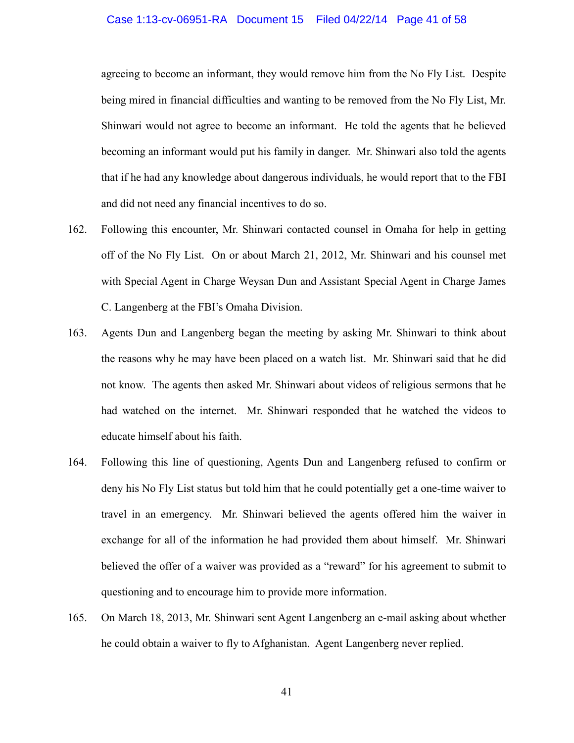#### Case 1:13-cv-06951-RA Document 15 Filed 04/22/14 Page 41 of 58

agreeing to become an informant, they would remove him from the No Fly List. Despite being mired in financial difficulties and wanting to be removed from the No Fly List, Mr. Shinwari would not agree to become an informant. He told the agents that he believed becoming an informant would put his family in danger. Mr. Shinwari also told the agents that if he had any knowledge about dangerous individuals, he would report that to the FBI and did not need any financial incentives to do so.

- 162. Following this encounter, Mr. Shinwari contacted counsel in Omaha for help in getting off of the No Fly List. On or about March 21, 2012, Mr. Shinwari and his counsel met with Special Agent in Charge Weysan Dun and Assistant Special Agent in Charge James C. Langenberg at the FBI's Omaha Division.
- 163. Agents Dun and Langenberg began the meeting by asking Mr. Shinwari to think about the reasons why he may have been placed on a watch list. Mr. Shinwari said that he did not know. The agents then asked Mr. Shinwari about videos of religious sermons that he had watched on the internet. Mr. Shinwari responded that he watched the videos to educate himself about his faith.
- 164. Following this line of questioning, Agents Dun and Langenberg refused to confirm or deny his No Fly List status but told him that he could potentially get a one-time waiver to travel in an emergency. Mr. Shinwari believed the agents offered him the waiver in exchange for all of the information he had provided them about himself. Mr. Shinwari believed the offer of a waiver was provided as a "reward" for his agreement to submit to questioning and to encourage him to provide more information.
- 165. On March 18, 2013, Mr. Shinwari sent Agent Langenberg an e-mail asking about whether he could obtain a waiver to fly to Afghanistan. Agent Langenberg never replied.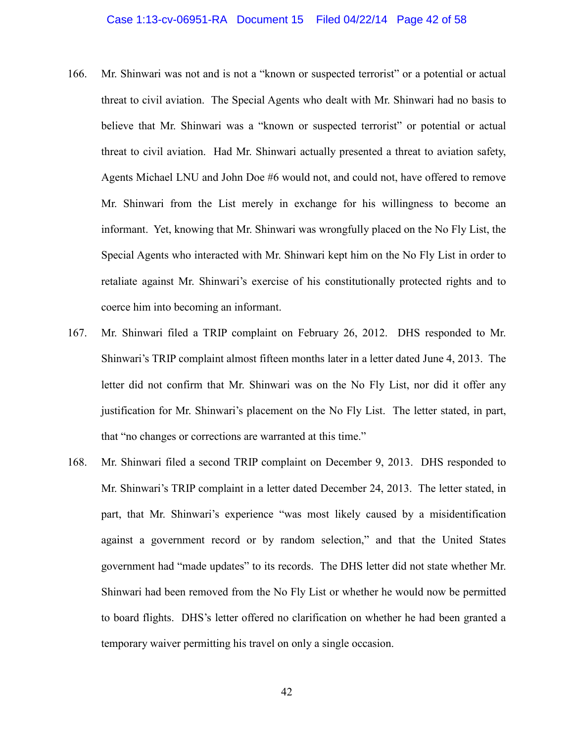- 166. Mr. Shinwari was not and is not a "known or suspected terrorist" or a potential or actual threat to civil aviation. The Special Agents who dealt with Mr. Shinwari had no basis to believe that Mr. Shinwari was a "known or suspected terrorist" or potential or actual threat to civil aviation. Had Mr. Shinwari actually presented a threat to aviation safety, Agents Michael LNU and John Doe #6 would not, and could not, have offered to remove Mr. Shinwari from the List merely in exchange for his willingness to become an informant. Yet, knowing that Mr. Shinwari was wrongfully placed on the No Fly List, the Special Agents who interacted with Mr. Shinwari kept him on the No Fly List in order to retaliate against Mr. Shinwari's exercise of his constitutionally protected rights and to coerce him into becoming an informant.
- 167. Mr. Shinwari filed a TRIP complaint on February 26, 2012. DHS responded to Mr. Shinwari's TRIP complaint almost fifteen months later in a letter dated June 4, 2013. The letter did not confirm that Mr. Shinwari was on the No Fly List, nor did it offer any justification for Mr. Shinwari's placement on the No Fly List. The letter stated, in part, that "no changes or corrections are warranted at this time."
- 168. Mr. Shinwari filed a second TRIP complaint on December 9, 2013. DHS responded to Mr. Shinwari's TRIP complaint in a letter dated December 24, 2013. The letter stated, in part, that Mr. Shinwari's experience "was most likely caused by a misidentification against a government record or by random selection," and that the United States government had "made updates" to its records. The DHS letter did not state whether Mr. Shinwari had been removed from the No Fly List or whether he would now be permitted to board flights. DHS's letter offered no clarification on whether he had been granted a temporary waiver permitting his travel on only a single occasion.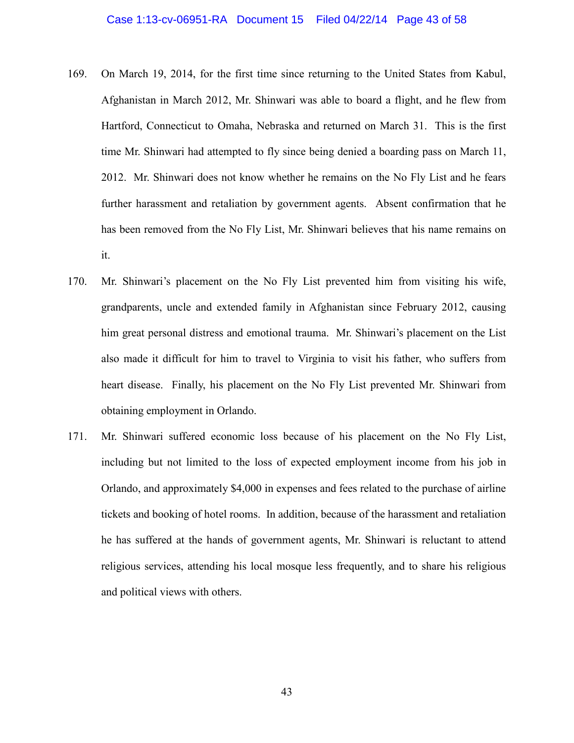- 169. On March 19, 2014, for the first time since returning to the United States from Kabul, Afghanistan in March 2012, Mr. Shinwari was able to board a flight, and he flew from Hartford, Connecticut to Omaha, Nebraska and returned on March 31. This is the first time Mr. Shinwari had attempted to fly since being denied a boarding pass on March 11, 2012. Mr. Shinwari does not know whether he remains on the No Fly List and he fears further harassment and retaliation by government agents. Absent confirmation that he has been removed from the No Fly List, Mr. Shinwari believes that his name remains on it.
- 170. Mr. Shinwari's placement on the No Fly List prevented him from visiting his wife, grandparents, uncle and extended family in Afghanistan since February 2012, causing him great personal distress and emotional trauma. Mr. Shinwari's placement on the List also made it difficult for him to travel to Virginia to visit his father, who suffers from heart disease. Finally, his placement on the No Fly List prevented Mr. Shinwari from obtaining employment in Orlando.
- 171. Mr. Shinwari suffered economic loss because of his placement on the No Fly List, including but not limited to the loss of expected employment income from his job in Orlando, and approximately \$4,000 in expenses and fees related to the purchase of airline tickets and booking of hotel rooms. In addition, because of the harassment and retaliation he has suffered at the hands of government agents, Mr. Shinwari is reluctant to attend religious services, attending his local mosque less frequently, and to share his religious and political views with others.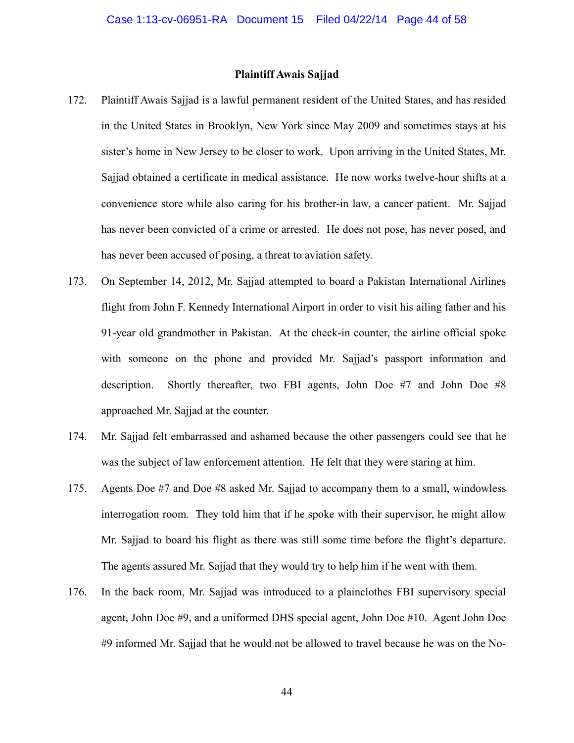#### **Plaintiff Awais Sajjad**

- 172. Plaintiff Awais Sajjad is a lawful permanent resident of the United States, and has resided in the United States in Brooklyn, New York since May 2009 and sometimes stays at his sister's home in New Jersey to be closer to work. Upon arriving in the United States, Mr. Sajjad obtained a certificate in medical assistance. He now works twelve-hour shifts at a convenience store while also caring for his brother-in law, a cancer patient. Mr. Sajjad has never been convicted of a crime or arrested. He does not pose, has never posed, and has never been accused of posing, a threat to aviation safety.
- 173. On September 14, 2012, Mr. Sajjad attempted to board a Pakistan International Airlines flight from John F. Kennedy International Airport in order to visit his ailing father and his 91-year old grandmother in Pakistan. At the check-in counter, the airline official spoke with someone on the phone and provided Mr. Sajjad's passport information and description. Shortly thereafter, two FBI agents, John Doe #7 and John Doe #8 approached Mr. Sajjad at the counter.
- 174. Mr. Sajjad felt embarrassed and ashamed because the other passengers could see that he was the subject of law enforcement attention. He felt that they were staring at him.
- 175. Agents Doe #7 and Doe #8 asked Mr. Sajjad to accompany them to a small, windowless interrogation room. They told him that if he spoke with their supervisor, he might allow Mr. Sajjad to board his flight as there was still some time before the flight's departure. The agents assured Mr. Sajjad that they would try to help him if he went with them.
- 176. In the back room, Mr. Sajjad was introduced to a plainclothes FBI supervisory special agent, John Doe #9, and a uniformed DHS special agent, John Doe #10. Agent John Doe #9 informed Mr. Sajjad that he would not be allowed to travel because he was on the No-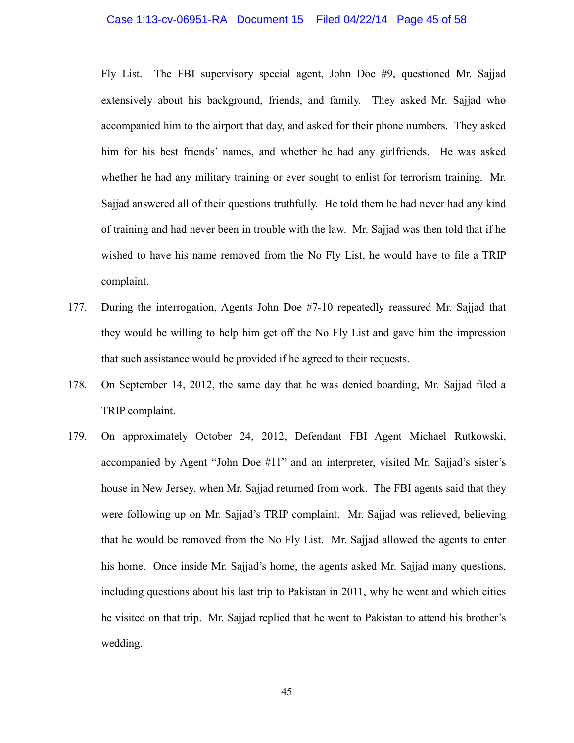#### Case 1:13-cv-06951-RA Document 15 Filed 04/22/14 Page 45 of 58

Fly List. The FBI supervisory special agent, John Doe #9, questioned Mr. Sajjad extensively about his background, friends, and family. They asked Mr. Sajjad who accompanied him to the airport that day, and asked for their phone numbers. They asked him for his best friends' names, and whether he had any girlfriends. He was asked whether he had any military training or ever sought to enlist for terrorism training. Mr. Sajjad answered all of their questions truthfully. He told them he had never had any kind of training and had never been in trouble with the law. Mr. Sajjad was then told that if he wished to have his name removed from the No Fly List, he would have to file a TRIP complaint.

- 177. During the interrogation, Agents John Doe #7-10 repeatedly reassured Mr. Sajjad that they would be willing to help him get off the No Fly List and gave him the impression that such assistance would be provided if he agreed to their requests.
- 178. On September 14, 2012, the same day that he was denied boarding, Mr. Sajjad filed a TRIP complaint.
- 179. On approximately October 24, 2012, Defendant FBI Agent Michael Rutkowski, accompanied by Agent "John Doe #11" and an interpreter, visited Mr. Sajjad's sister's house in New Jersey, when Mr. Sajjad returned from work. The FBI agents said that they were following up on Mr. Sajjad's TRIP complaint. Mr. Sajjad was relieved, believing that he would be removed from the No Fly List. Mr. Sajjad allowed the agents to enter his home. Once inside Mr. Sajjad's home, the agents asked Mr. Sajjad many questions, including questions about his last trip to Pakistan in 2011, why he went and which cities he visited on that trip. Mr. Sajjad replied that he went to Pakistan to attend his brother's wedding.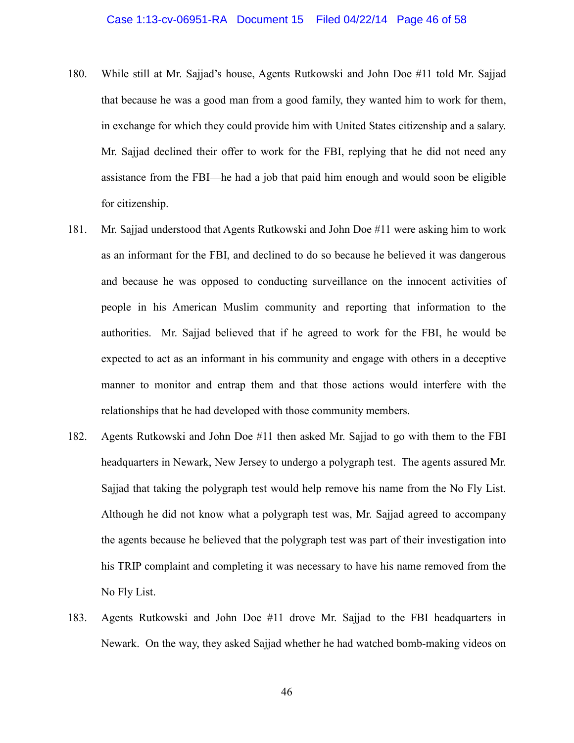#### Case 1:13-cv-06951-RA Document 15 Filed 04/22/14 Page 46 of 58

- 180. While still at Mr. Sajjad's house, Agents Rutkowski and John Doe #11 told Mr. Sajjad that because he was a good man from a good family, they wanted him to work for them, in exchange for which they could provide him with United States citizenship and a salary. Mr. Sajjad declined their offer to work for the FBI, replying that he did not need any assistance from the FBI—he had a job that paid him enough and would soon be eligible for citizenship.
- 181. Mr. Sajjad understood that Agents Rutkowski and John Doe #11 were asking him to work as an informant for the FBI, and declined to do so because he believed it was dangerous and because he was opposed to conducting surveillance on the innocent activities of people in his American Muslim community and reporting that information to the authorities. Mr. Sajjad believed that if he agreed to work for the FBI, he would be expected to act as an informant in his community and engage with others in a deceptive manner to monitor and entrap them and that those actions would interfere with the relationships that he had developed with those community members.
- 182. Agents Rutkowski and John Doe #11 then asked Mr. Sajjad to go with them to the FBI headquarters in Newark, New Jersey to undergo a polygraph test. The agents assured Mr. Sajjad that taking the polygraph test would help remove his name from the No Fly List. Although he did not know what a polygraph test was, Mr. Sajjad agreed to accompany the agents because he believed that the polygraph test was part of their investigation into his TRIP complaint and completing it was necessary to have his name removed from the No Fly List.
- 183. Agents Rutkowski and John Doe #11 drove Mr. Sajjad to the FBI headquarters in Newark. On the way, they asked Sajjad whether he had watched bomb-making videos on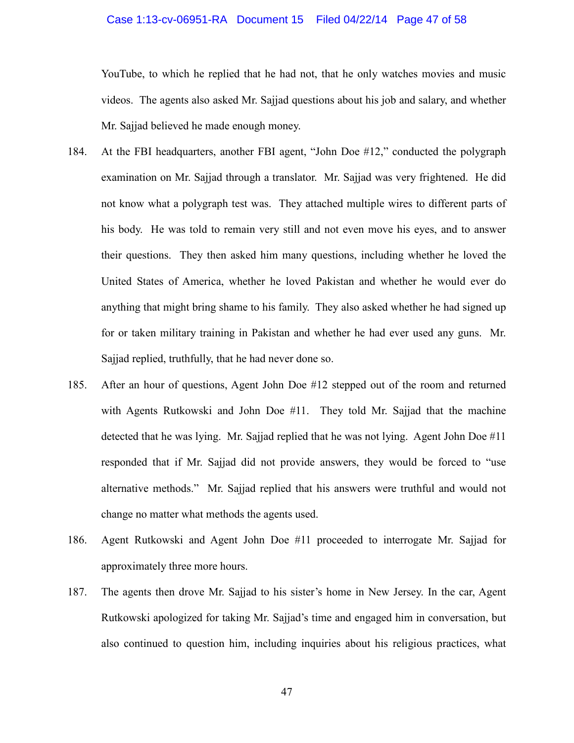#### Case 1:13-cv-06951-RA Document 15 Filed 04/22/14 Page 47 of 58

YouTube, to which he replied that he had not, that he only watches movies and music videos. The agents also asked Mr. Sajjad questions about his job and salary, and whether Mr. Sajjad believed he made enough money.

- 184. At the FBI headquarters, another FBI agent, "John Doe #12," conducted the polygraph examination on Mr. Sajjad through a translator. Mr. Sajjad was very frightened. He did not know what a polygraph test was. They attached multiple wires to different parts of his body. He was told to remain very still and not even move his eyes, and to answer their questions. They then asked him many questions, including whether he loved the United States of America, whether he loved Pakistan and whether he would ever do anything that might bring shame to his family. They also asked whether he had signed up for or taken military training in Pakistan and whether he had ever used any guns. Mr. Sajjad replied, truthfully, that he had never done so.
- 185. After an hour of questions, Agent John Doe #12 stepped out of the room and returned with Agents Rutkowski and John Doe #11. They told Mr. Sajjad that the machine detected that he was lying. Mr. Sajjad replied that he was not lying. Agent John Doe #11 responded that if Mr. Sajjad did not provide answers, they would be forced to "use alternative methods." Mr. Sajjad replied that his answers were truthful and would not change no matter what methods the agents used.
- 186. Agent Rutkowski and Agent John Doe #11 proceeded to interrogate Mr. Sajjad for approximately three more hours.
- 187. The agents then drove Mr. Sajjad to his sister's home in New Jersey. In the car, Agent Rutkowski apologized for taking Mr. Sajjad's time and engaged him in conversation, but also continued to question him, including inquiries about his religious practices, what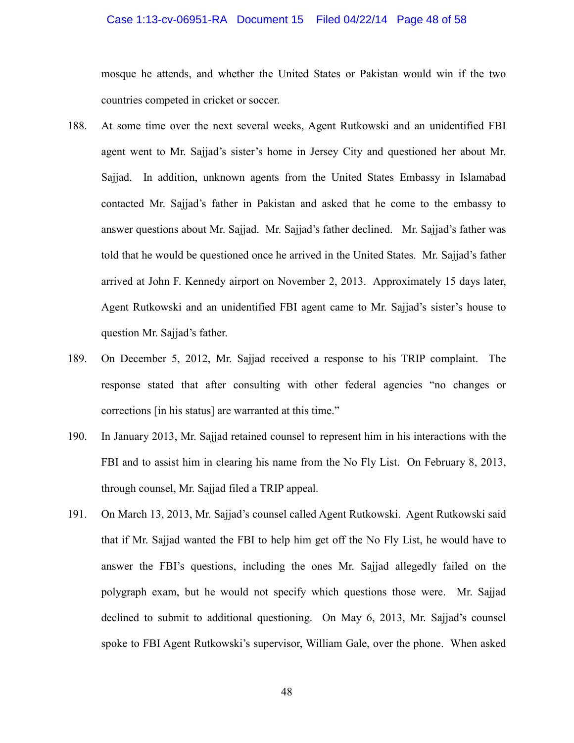#### Case 1:13-cv-06951-RA Document 15 Filed 04/22/14 Page 48 of 58

mosque he attends, and whether the United States or Pakistan would win if the two countries competed in cricket or soccer.

- 188. At some time over the next several weeks, Agent Rutkowski and an unidentified FBI agent went to Mr. Sajjad's sister's home in Jersey City and questioned her about Mr. Sajjad. In addition, unknown agents from the United States Embassy in Islamabad contacted Mr. Sajjad's father in Pakistan and asked that he come to the embassy to answer questions about Mr. Sajjad. Mr. Sajjad's father declined. Mr. Sajjad's father was told that he would be questioned once he arrived in the United States. Mr. Sajjad's father arrived at John F. Kennedy airport on November 2, 2013. Approximately 15 days later, Agent Rutkowski and an unidentified FBI agent came to Mr. Sajjad's sister's house to question Mr. Sajjad's father.
- 189. On December 5, 2012, Mr. Sajjad received a response to his TRIP complaint. The response stated that after consulting with other federal agencies "no changes or corrections [in his status] are warranted at this time."
- 190. In January 2013, Mr. Sajjad retained counsel to represent him in his interactions with the FBI and to assist him in clearing his name from the No Fly List. On February 8, 2013, through counsel, Mr. Sajjad filed a TRIP appeal.
- 191. On March 13, 2013, Mr. Sajjad's counsel called Agent Rutkowski. Agent Rutkowski said that if Mr. Sajjad wanted the FBI to help him get off the No Fly List, he would have to answer the FBI's questions, including the ones Mr. Sajjad allegedly failed on the polygraph exam, but he would not specify which questions those were. Mr. Sajjad declined to submit to additional questioning. On May 6, 2013, Mr. Sajjad's counsel spoke to FBI Agent Rutkowski's supervisor, William Gale, over the phone. When asked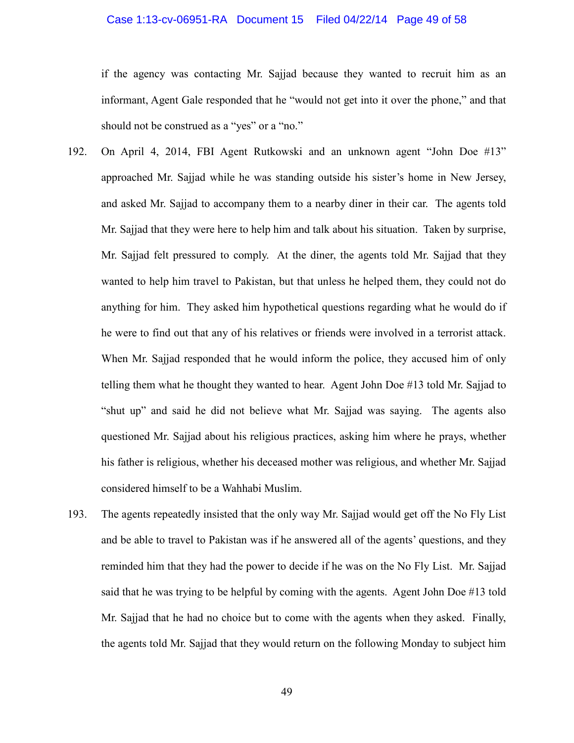#### Case 1:13-cv-06951-RA Document 15 Filed 04/22/14 Page 49 of 58

if the agency was contacting Mr. Sajjad because they wanted to recruit him as an informant, Agent Gale responded that he "would not get into it over the phone," and that should not be construed as a "yes" or a "no."

- 192. On April 4, 2014, FBI Agent Rutkowski and an unknown agent "John Doe #13" approached Mr. Sajjad while he was standing outside his sister's home in New Jersey, and asked Mr. Sajjad to accompany them to a nearby diner in their car. The agents told Mr. Sajjad that they were here to help him and talk about his situation. Taken by surprise, Mr. Sajjad felt pressured to comply. At the diner, the agents told Mr. Sajjad that they wanted to help him travel to Pakistan, but that unless he helped them, they could not do anything for him. They asked him hypothetical questions regarding what he would do if he were to find out that any of his relatives or friends were involved in a terrorist attack. When Mr. Sajjad responded that he would inform the police, they accused him of only telling them what he thought they wanted to hear. Agent John Doe #13 told Mr. Sajjad to "shut up" and said he did not believe what Mr. Sajjad was saying. The agents also questioned Mr. Sajjad about his religious practices, asking him where he prays, whether his father is religious, whether his deceased mother was religious, and whether Mr. Sajjad considered himself to be a Wahhabi Muslim.
- 193. The agents repeatedly insisted that the only way Mr. Sajjad would get off the No Fly List and be able to travel to Pakistan was if he answered all of the agents' questions, and they reminded him that they had the power to decide if he was on the No Fly List. Mr. Sajjad said that he was trying to be helpful by coming with the agents. Agent John Doe #13 told Mr. Sajjad that he had no choice but to come with the agents when they asked. Finally, the agents told Mr. Sajjad that they would return on the following Monday to subject him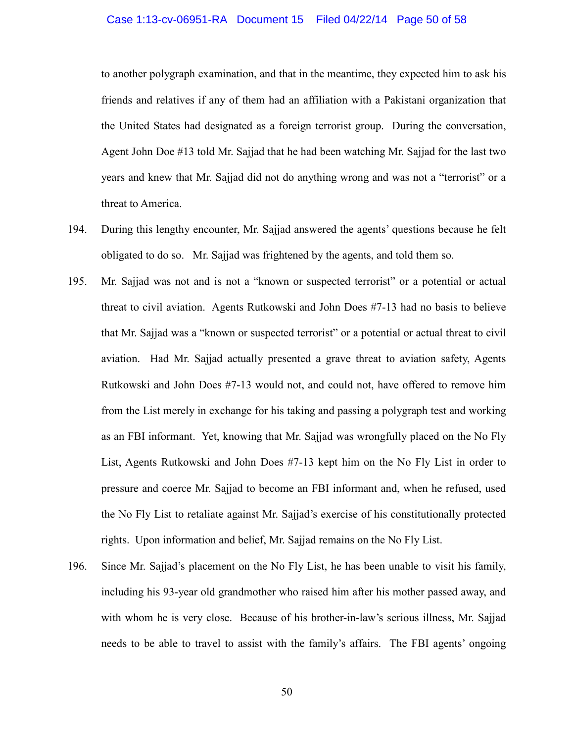#### Case 1:13-cv-06951-RA Document 15 Filed 04/22/14 Page 50 of 58

to another polygraph examination, and that in the meantime, they expected him to ask his friends and relatives if any of them had an affiliation with a Pakistani organization that the United States had designated as a foreign terrorist group. During the conversation, Agent John Doe #13 told Mr. Sajjad that he had been watching Mr. Sajjad for the last two years and knew that Mr. Sajjad did not do anything wrong and was not a "terrorist" or a threat to America.

- 194. During this lengthy encounter, Mr. Sajjad answered the agents' questions because he felt obligated to do so. Mr. Sajjad was frightened by the agents, and told them so.
- 195. Mr. Sajjad was not and is not a "known or suspected terrorist" or a potential or actual threat to civil aviation. Agents Rutkowski and John Does #7-13 had no basis to believe that Mr. Sajjad was a "known or suspected terrorist" or a potential or actual threat to civil aviation. Had Mr. Sajjad actually presented a grave threat to aviation safety, Agents Rutkowski and John Does #7-13 would not, and could not, have offered to remove him from the List merely in exchange for his taking and passing a polygraph test and working as an FBI informant. Yet, knowing that Mr. Sajjad was wrongfully placed on the No Fly List, Agents Rutkowski and John Does #7-13 kept him on the No Fly List in order to pressure and coerce Mr. Sajjad to become an FBI informant and, when he refused, used the No Fly List to retaliate against Mr. Sajjad's exercise of his constitutionally protected rights. Upon information and belief, Mr. Sajjad remains on the No Fly List.
- 196. Since Mr. Sajjad's placement on the No Fly List, he has been unable to visit his family, including his 93-year old grandmother who raised him after his mother passed away, and with whom he is very close. Because of his brother-in-law's serious illness, Mr. Sajjad needs to be able to travel to assist with the family's affairs. The FBI agents' ongoing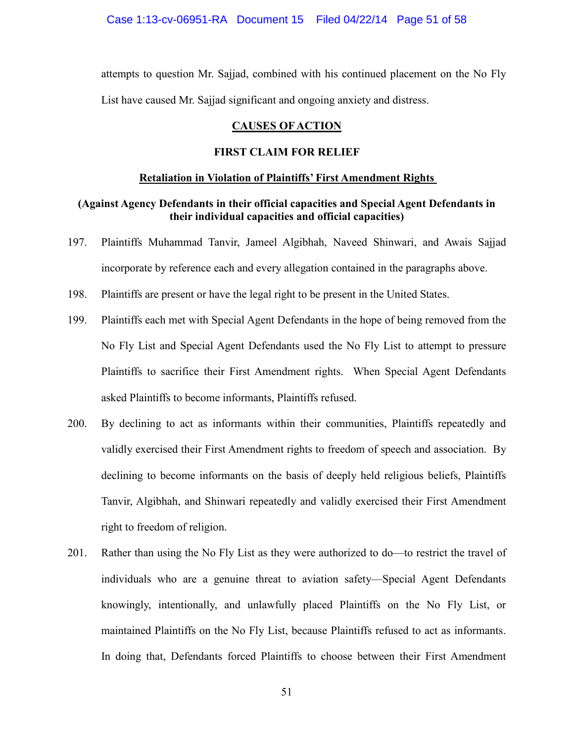attempts to question Mr. Sajjad, combined with his continued placement on the No Fly List have caused Mr. Sajjad significant and ongoing anxiety and distress.

## **CAUSES OF ACTION**

## **FIRST CLAIM FOR RELIEF**

#### **Retaliation in Violation of Plaintiffs' First Amendment Rights**

## **(Against Agency Defendants in their official capacities and Special Agent Defendants in their individual capacities and official capacities)**

- 197. Plaintiffs Muhammad Tanvir, Jameel Algibhah, Naveed Shinwari, and Awais Sajjad incorporate by reference each and every allegation contained in the paragraphs above.
- 198. Plaintiffs are present or have the legal right to be present in the United States.
- 199. Plaintiffs each met with Special Agent Defendants in the hope of being removed from the No Fly List and Special Agent Defendants used the No Fly List to attempt to pressure Plaintiffs to sacrifice their First Amendment rights. When Special Agent Defendants asked Plaintiffs to become informants, Plaintiffs refused.
- 200. By declining to act as informants within their communities, Plaintiffs repeatedly and validly exercised their First Amendment rights to freedom of speech and association. By declining to become informants on the basis of deeply held religious beliefs, Plaintiffs Tanvir, Algibhah, and Shinwari repeatedly and validly exercised their First Amendment right to freedom of religion.
- 201. Rather than using the No Fly List as they were authorized to do—to restrict the travel of individuals who are a genuine threat to aviation safety—Special Agent Defendants knowingly, intentionally, and unlawfully placed Plaintiffs on the No Fly List, or maintained Plaintiffs on the No Fly List, because Plaintiffs refused to act as informants. In doing that, Defendants forced Plaintiffs to choose between their First Amendment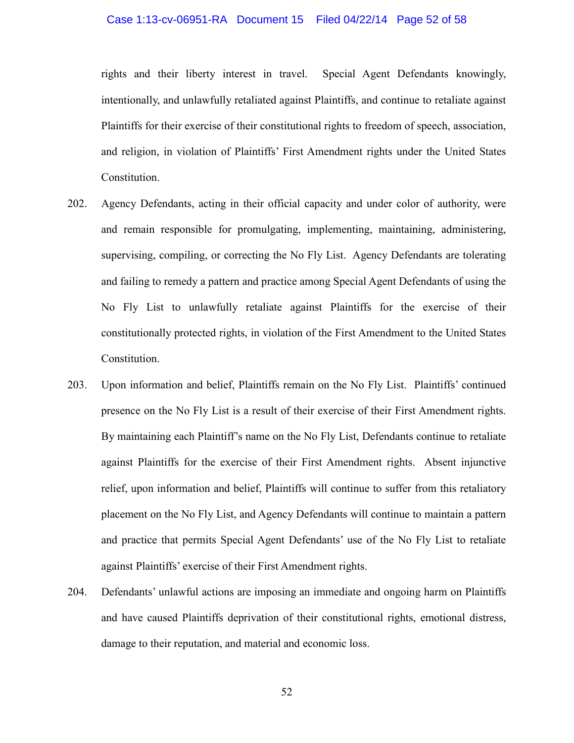#### Case 1:13-cv-06951-RA Document 15 Filed 04/22/14 Page 52 of 58

rights and their liberty interest in travel. Special Agent Defendants knowingly, intentionally, and unlawfully retaliated against Plaintiffs, and continue to retaliate against Plaintiffs for their exercise of their constitutional rights to freedom of speech, association, and religion, in violation of Plaintiffs' First Amendment rights under the United States Constitution.

- 202. Agency Defendants, acting in their official capacity and under color of authority, were and remain responsible for promulgating, implementing, maintaining, administering, supervising, compiling, or correcting the No Fly List. Agency Defendants are tolerating and failing to remedy a pattern and practice among Special Agent Defendants of using the No Fly List to unlawfully retaliate against Plaintiffs for the exercise of their constitutionally protected rights, in violation of the First Amendment to the United States Constitution.
- 203. Upon information and belief, Plaintiffs remain on the No Fly List. Plaintiffs' continued presence on the No Fly List is a result of their exercise of their First Amendment rights. By maintaining each Plaintiff's name on the No Fly List, Defendants continue to retaliate against Plaintiffs for the exercise of their First Amendment rights. Absent injunctive relief, upon information and belief, Plaintiffs will continue to suffer from this retaliatory placement on the No Fly List, and Agency Defendants will continue to maintain a pattern and practice that permits Special Agent Defendants' use of the No Fly List to retaliate against Plaintiffs' exercise of their First Amendment rights.
- 204. Defendants' unlawful actions are imposing an immediate and ongoing harm on Plaintiffs and have caused Plaintiffs deprivation of their constitutional rights, emotional distress, damage to their reputation, and material and economic loss.

52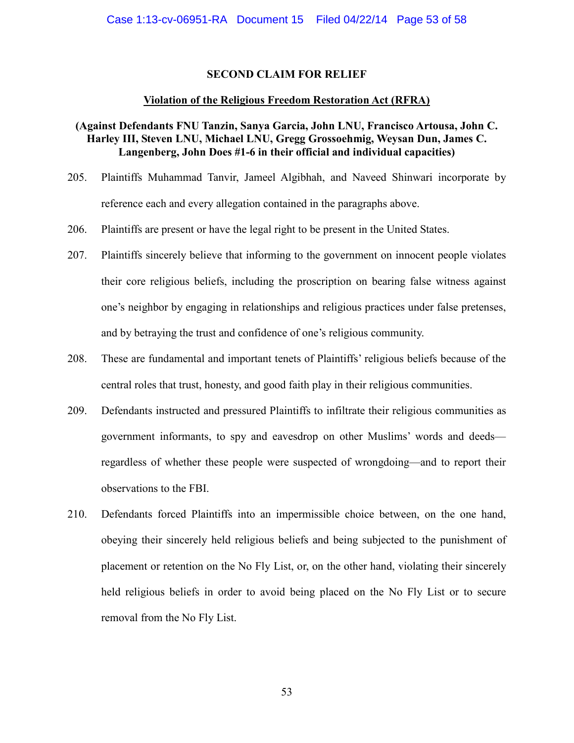## **SECOND CLAIM FOR RELIEF**

## **Violation of the Religious Freedom Restoration Act (RFRA)**

# **(Against Defendants FNU Tanzin, Sanya Garcia, John LNU, Francisco Artousa, John C. Harley III, Steven LNU, Michael LNU, Gregg Grossoehmig, Weysan Dun, James C. Langenberg, John Does #1-6 in their official and individual capacities)**

- 205. Plaintiffs Muhammad Tanvir, Jameel Algibhah, and Naveed Shinwari incorporate by reference each and every allegation contained in the paragraphs above.
- 206. Plaintiffs are present or have the legal right to be present in the United States.
- 207. Plaintiffs sincerely believe that informing to the government on innocent people violates their core religious beliefs, including the proscription on bearing false witness against one's neighbor by engaging in relationships and religious practices under false pretenses, and by betraying the trust and confidence of one's religious community.
- 208. These are fundamental and important tenets of Plaintiffs' religious beliefs because of the central roles that trust, honesty, and good faith play in their religious communities.
- 209. Defendants instructed and pressured Plaintiffs to infiltrate their religious communities as government informants, to spy and eavesdrop on other Muslims' words and deeds regardless of whether these people were suspected of wrongdoing—and to report their observations to the FBI.
- 210. Defendants forced Plaintiffs into an impermissible choice between, on the one hand, obeying their sincerely held religious beliefs and being subjected to the punishment of placement or retention on the No Fly List, or, on the other hand, violating their sincerely held religious beliefs in order to avoid being placed on the No Fly List or to secure removal from the No Fly List.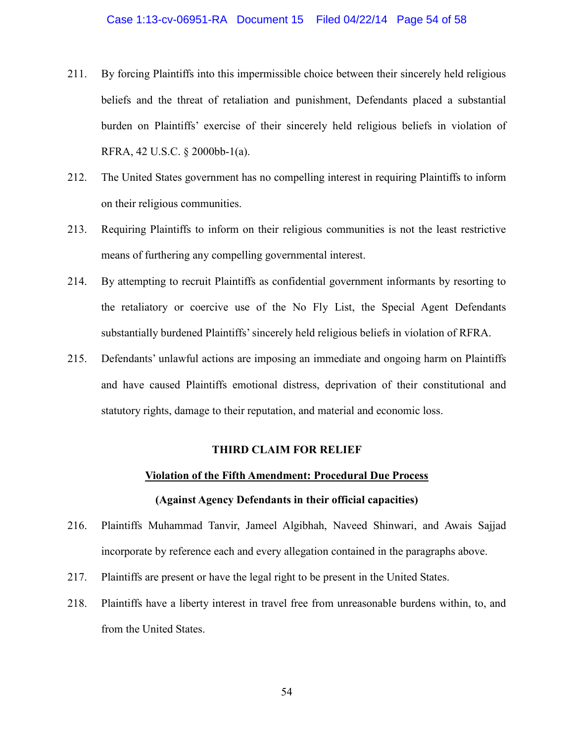#### Case 1:13-cv-06951-RA Document 15 Filed 04/22/14 Page 54 of 58

- 211. By forcing Plaintiffs into this impermissible choice between their sincerely held religious beliefs and the threat of retaliation and punishment, Defendants placed a substantial burden on Plaintiffs' exercise of their sincerely held religious beliefs in violation of RFRA, 42 U.S.C. § 2000bb-1(a).
- 212. The United States government has no compelling interest in requiring Plaintiffs to inform on their religious communities.
- 213. Requiring Plaintiffs to inform on their religious communities is not the least restrictive means of furthering any compelling governmental interest.
- 214. By attempting to recruit Plaintiffs as confidential government informants by resorting to the retaliatory or coercive use of the No Fly List, the Special Agent Defendants substantially burdened Plaintiffs' sincerely held religious beliefs in violation of RFRA.
- 215. Defendants' unlawful actions are imposing an immediate and ongoing harm on Plaintiffs and have caused Plaintiffs emotional distress, deprivation of their constitutional and statutory rights, damage to their reputation, and material and economic loss.

## **THIRD CLAIM FOR RELIEF**

# **Violation of the Fifth Amendment: Procedural Due Process (Against Agency Defendants in their official capacities)**

- 216. Plaintiffs Muhammad Tanvir, Jameel Algibhah, Naveed Shinwari, and Awais Sajjad incorporate by reference each and every allegation contained in the paragraphs above.
- 217. Plaintiffs are present or have the legal right to be present in the United States.
- 218. Plaintiffs have a liberty interest in travel free from unreasonable burdens within, to, and from the United States.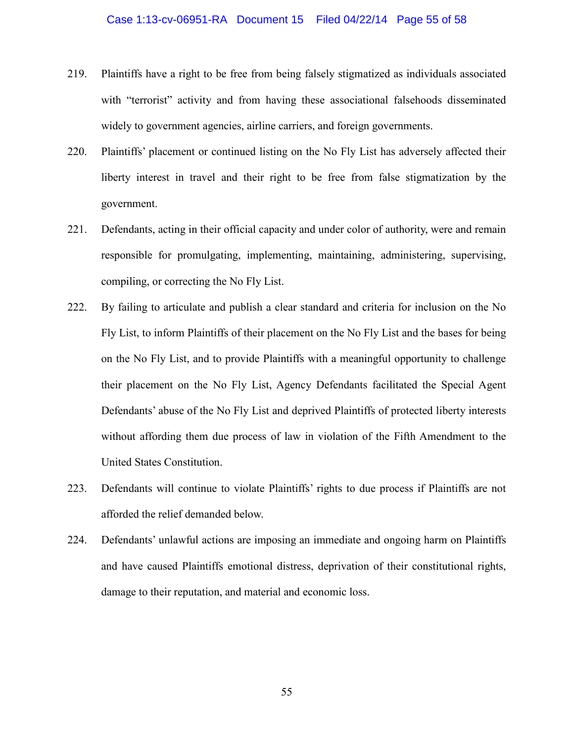#### Case 1:13-cv-06951-RA Document 15 Filed 04/22/14 Page 55 of 58

- 219. Plaintiffs have a right to be free from being falsely stigmatized as individuals associated with "terrorist" activity and from having these associational falsehoods disseminated widely to government agencies, airline carriers, and foreign governments.
- 220. Plaintiffs' placement or continued listing on the No Fly List has adversely affected their liberty interest in travel and their right to be free from false stigmatization by the government.
- 221. Defendants, acting in their official capacity and under color of authority, were and remain responsible for promulgating, implementing, maintaining, administering, supervising, compiling, or correcting the No Fly List.
- 222. By failing to articulate and publish a clear standard and criteria for inclusion on the No Fly List, to inform Plaintiffs of their placement on the No Fly List and the bases for being on the No Fly List, and to provide Plaintiffs with a meaningful opportunity to challenge their placement on the No Fly List, Agency Defendants facilitated the Special Agent Defendants' abuse of the No Fly List and deprived Plaintiffs of protected liberty interests without affording them due process of law in violation of the Fifth Amendment to the United States Constitution.
- 223. Defendants will continue to violate Plaintiffs' rights to due process if Plaintiffs are not afforded the relief demanded below.
- 224. Defendants' unlawful actions are imposing an immediate and ongoing harm on Plaintiffs and have caused Plaintiffs emotional distress, deprivation of their constitutional rights, damage to their reputation, and material and economic loss.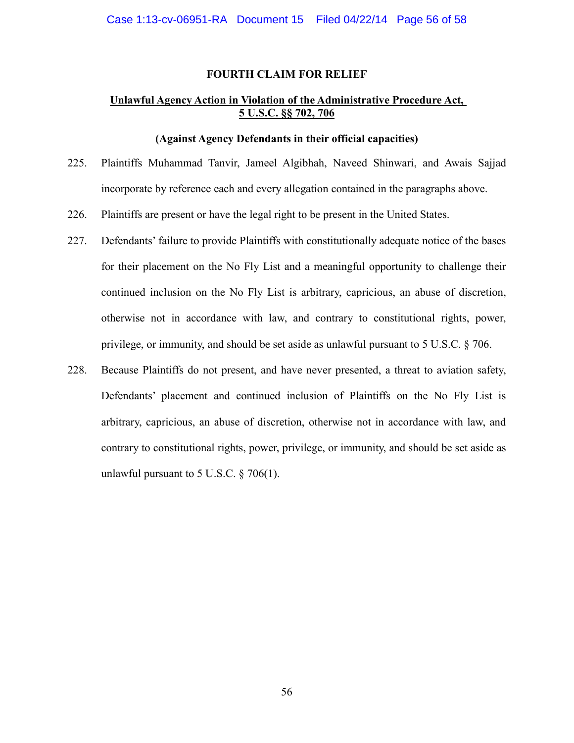#### **FOURTH CLAIM FOR RELIEF**

# **Unlawful Agency Action in Violation of the Administrative Procedure Act, 5 U.S.C. §§ 702, 706**

## **(Against Agency Defendants in their official capacities)**

- 225. Plaintiffs Muhammad Tanvir, Jameel Algibhah, Naveed Shinwari, and Awais Sajjad incorporate by reference each and every allegation contained in the paragraphs above.
- 226. Plaintiffs are present or have the legal right to be present in the United States.
- 227. Defendants' failure to provide Plaintiffs with constitutionally adequate notice of the bases for their placement on the No Fly List and a meaningful opportunity to challenge their continued inclusion on the No Fly List is arbitrary, capricious, an abuse of discretion, otherwise not in accordance with law, and contrary to constitutional rights, power, privilege, or immunity, and should be set aside as unlawful pursuant to 5 U.S.C. § 706.
- 228. Because Plaintiffs do not present, and have never presented, a threat to aviation safety, Defendants' placement and continued inclusion of Plaintiffs on the No Fly List is arbitrary, capricious, an abuse of discretion, otherwise not in accordance with law, and contrary to constitutional rights, power, privilege, or immunity, and should be set aside as unlawful pursuant to 5 U.S.C.  $\S$  706(1).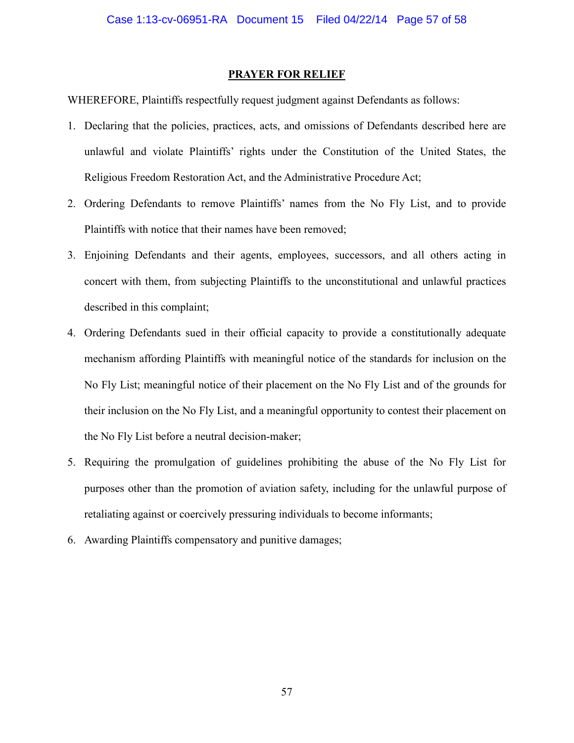#### **PRAYER FOR RELIEF**

WHEREFORE, Plaintiffs respectfully request judgment against Defendants as follows:

- 1. Declaring that the policies, practices, acts, and omissions of Defendants described here are unlawful and violate Plaintiffs' rights under the Constitution of the United States, the Religious Freedom Restoration Act, and the Administrative Procedure Act;
- 2. Ordering Defendants to remove Plaintiffs' names from the No Fly List, and to provide Plaintiffs with notice that their names have been removed;
- 3. Enjoining Defendants and their agents, employees, successors, and all others acting in concert with them, from subjecting Plaintiffs to the unconstitutional and unlawful practices described in this complaint;
- 4. Ordering Defendants sued in their official capacity to provide a constitutionally adequate mechanism affording Plaintiffs with meaningful notice of the standards for inclusion on the No Fly List; meaningful notice of their placement on the No Fly List and of the grounds for their inclusion on the No Fly List, and a meaningful opportunity to contest their placement on the No Fly List before a neutral decision-maker;
- 5. Requiring the promulgation of guidelines prohibiting the abuse of the No Fly List for purposes other than the promotion of aviation safety, including for the unlawful purpose of retaliating against or coercively pressuring individuals to become informants;
- 6. Awarding Plaintiffs compensatory and punitive damages;